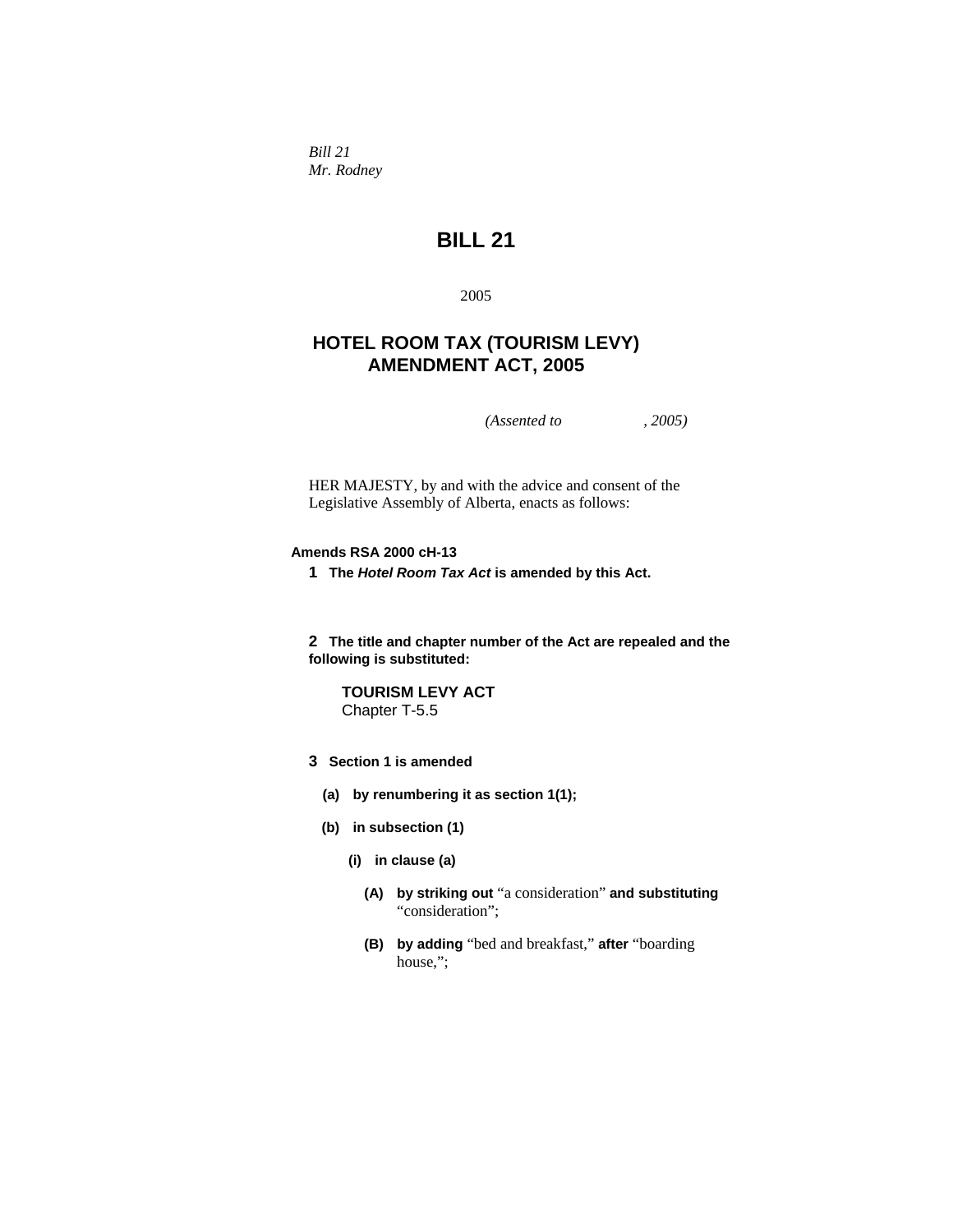*Bill 21 Mr. Rodney* 

# **BILL 21**

2005

# **HOTEL ROOM TAX (TOURISM LEVY) AMENDMENT ACT, 2005**

*(Assented to , 2005)* 

HER MAJESTY, by and with the advice and consent of the Legislative Assembly of Alberta, enacts as follows:

# **Amends RSA 2000 cH-13**

**1 The** *Hotel Room Tax Act* **is amended by this Act.**

**2 The title and chapter number of the Act are repealed and the following is substituted:**

**TOURISM LEVY ACT** Chapter T-5.5

- **3 Section 1 is amended**
	- **(a) by renumbering it as section 1(1);**
	- **(b) in subsection (1)**
		- **(i) in clause (a)**
			- **(A) by striking out** "a consideration" **and substituting**  "consideration";
			- **(B) by adding** "bed and breakfast," **after** "boarding house,";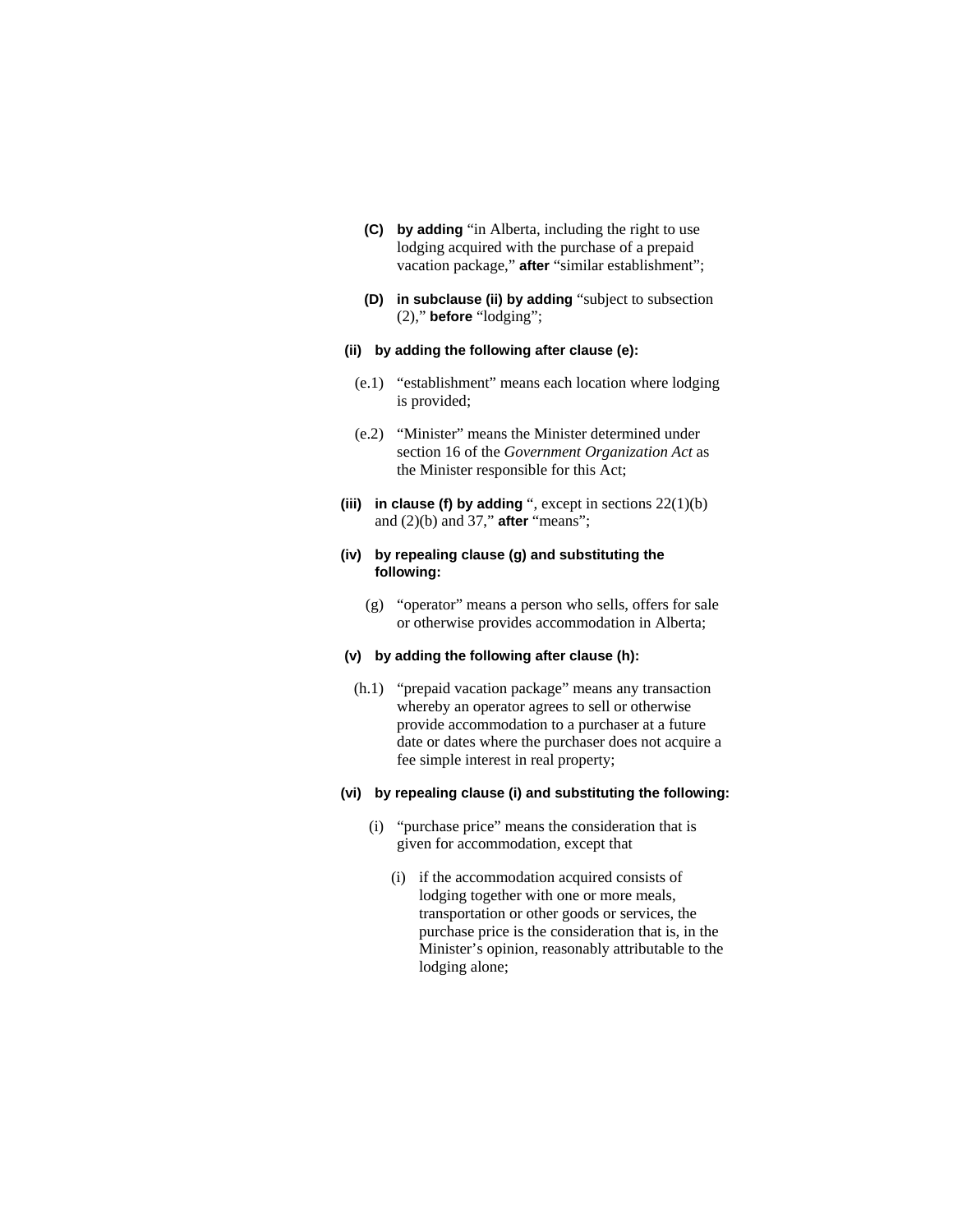- **(C) by adding** "in Alberta, including the right to use lodging acquired with the purchase of a prepaid vacation package," **after** "similar establishment";
- **(D) in subclause (ii) by adding** "subject to subsection (2)," **before** "lodging";

### **(ii) by adding the following after clause (e):**

- (e.1) "establishment" means each location where lodging is provided;
- (e.2) "Minister" means the Minister determined under section 16 of the *Government Organization Act* as the Minister responsible for this Act;
- **(iii) in clause (f) by adding** ", except in sections 22(1)(b) and (2)(b) and 37," **after** "means";

### **(iv) by repealing clause (g) and substituting the following:**

 (g) "operator" means a person who sells, offers for sale or otherwise provides accommodation in Alberta;

### **(v) by adding the following after clause (h):**

 (h.1) "prepaid vacation package" means any transaction whereby an operator agrees to sell or otherwise provide accommodation to a purchaser at a future date or dates where the purchaser does not acquire a fee simple interest in real property;

### **(vi) by repealing clause (i) and substituting the following:**

- (i) "purchase price" means the consideration that is given for accommodation, except that
	- (i) if the accommodation acquired consists of lodging together with one or more meals, transportation or other goods or services, the purchase price is the consideration that is, in the Minister's opinion, reasonably attributable to the lodging alone;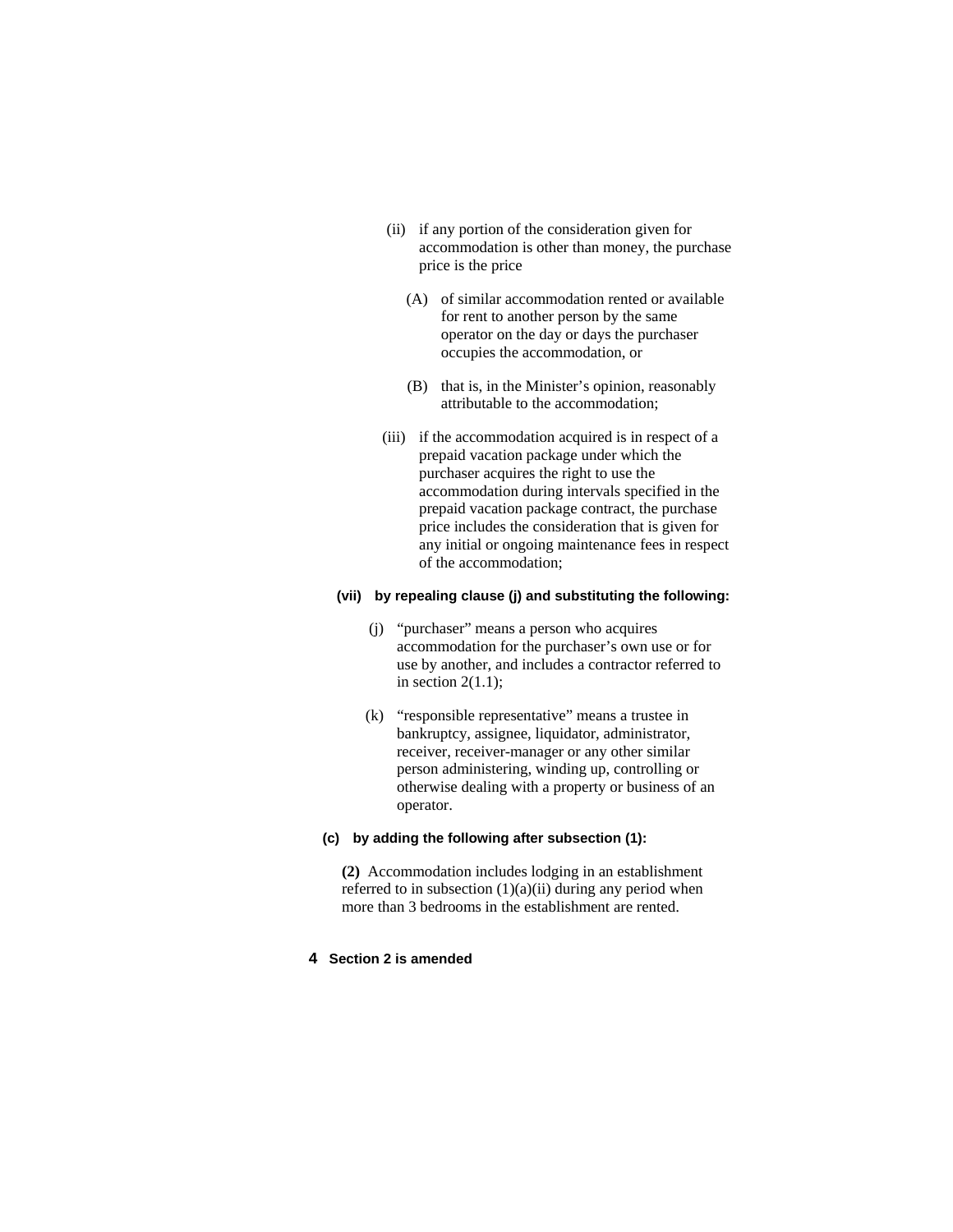- (ii) if any portion of the consideration given for accommodation is other than money, the purchase price is the price
	- (A) of similar accommodation rented or available for rent to another person by the same operator on the day or days the purchaser occupies the accommodation, or
	- (B) that is, in the Minister's opinion, reasonably attributable to the accommodation;
- (iii) if the accommodation acquired is in respect of a prepaid vacation package under which the purchaser acquires the right to use the accommodation during intervals specified in the prepaid vacation package contract, the purchase price includes the consideration that is given for any initial or ongoing maintenance fees in respect of the accommodation;

### **(vii) by repealing clause (j) and substituting the following:**

- (j) "purchaser" means a person who acquires accommodation for the purchaser's own use or for use by another, and includes a contractor referred to in section  $2(1.1)$ ;
- (k) "responsible representative" means a trustee in bankruptcy, assignee, liquidator, administrator, receiver, receiver-manager or any other similar person administering, winding up, controlling or otherwise dealing with a property or business of an operator.

# **(c) by adding the following after subsection (1):**

**(2)** Accommodation includes lodging in an establishment referred to in subsection (1)(a)(ii) during any period when more than 3 bedrooms in the establishment are rented.

# **4 Section 2 is amended**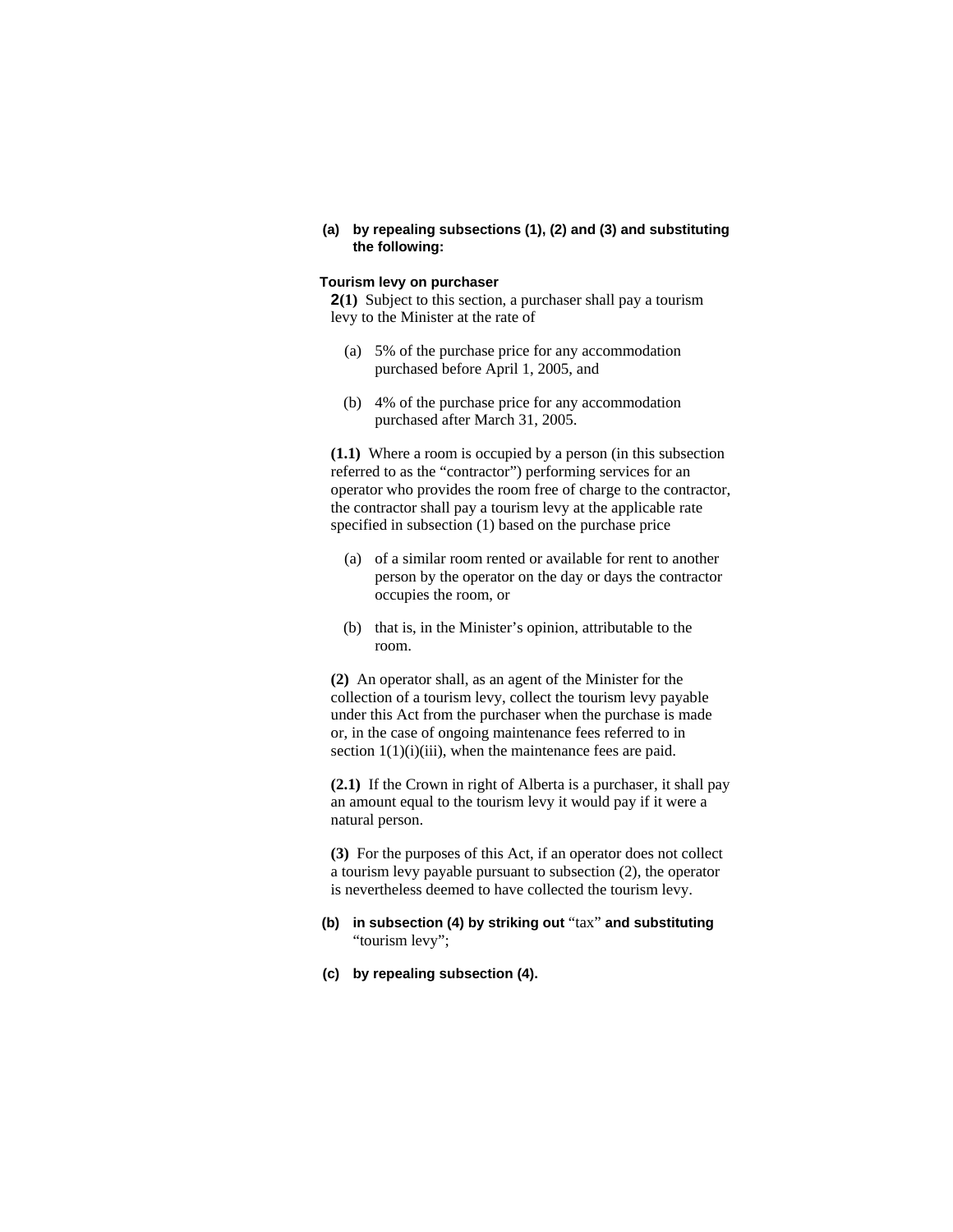**(a) by repealing subsections (1), (2) and (3) and substituting the following:** 

## **Tourism levy on purchaser**

**2(1)** Subject to this section, a purchaser shall pay a tourism levy to the Minister at the rate of

- (a) 5% of the purchase price for any accommodation purchased before April 1, 2005, and
- (b) 4% of the purchase price for any accommodation purchased after March 31, 2005.

**(1.1)** Where a room is occupied by a person (in this subsection referred to as the "contractor") performing services for an operator who provides the room free of charge to the contractor, the contractor shall pay a tourism levy at the applicable rate specified in subsection (1) based on the purchase price

- (a) of a similar room rented or available for rent to another person by the operator on the day or days the contractor occupies the room, or
- (b) that is, in the Minister's opinion, attributable to the room.

**(2)** An operator shall, as an agent of the Minister for the collection of a tourism levy, collect the tourism levy payable under this Act from the purchaser when the purchase is made or, in the case of ongoing maintenance fees referred to in section  $1(1)(i)(iii)$ , when the maintenance fees are paid.

**(2.1)** If the Crown in right of Alberta is a purchaser, it shall pay an amount equal to the tourism levy it would pay if it were a natural person.

**(3)** For the purposes of this Act, if an operator does not collect a tourism levy payable pursuant to subsection (2), the operator is nevertheless deemed to have collected the tourism levy.

# **(b) in subsection (4) by striking out** "tax" **and substituting**  "tourism levy";

**(c) by repealing subsection (4).**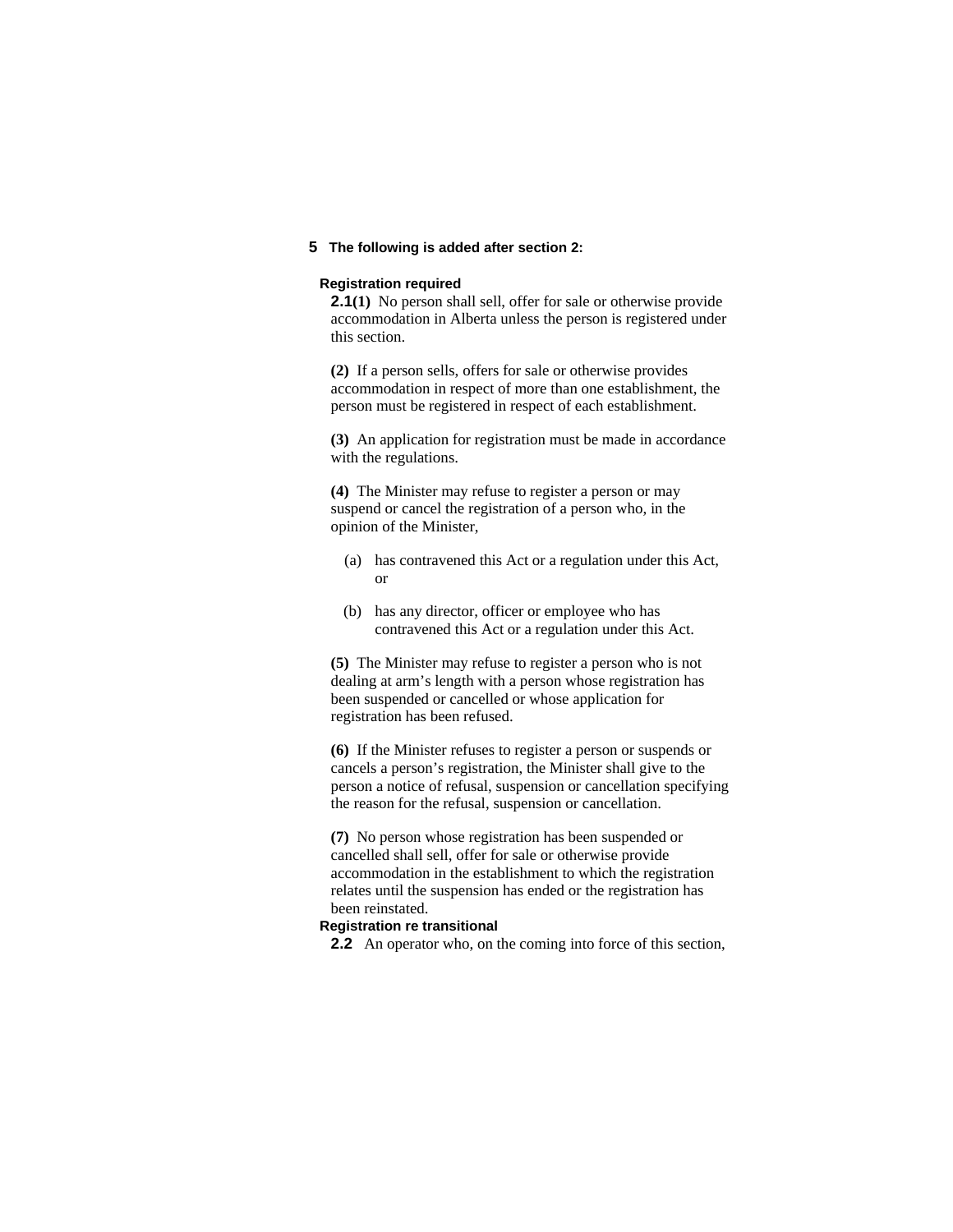# **5 The following is added after section 2:**

#### **Registration required**

**2.1**(1) No person shall sell, offer for sale or otherwise provide accommodation in Alberta unless the person is registered under this section.

**(2)** If a person sells, offers for sale or otherwise provides accommodation in respect of more than one establishment, the person must be registered in respect of each establishment.

**(3)** An application for registration must be made in accordance with the regulations.

**(4)** The Minister may refuse to register a person or may suspend or cancel the registration of a person who, in the opinion of the Minister,

- (a) has contravened this Act or a regulation under this Act, or
- (b) has any director, officer or employee who has contravened this Act or a regulation under this Act.

**(5)** The Minister may refuse to register a person who is not dealing at arm's length with a person whose registration has been suspended or cancelled or whose application for registration has been refused.

**(6)** If the Minister refuses to register a person or suspends or cancels a person's registration, the Minister shall give to the person a notice of refusal, suspension or cancellation specifying the reason for the refusal, suspension or cancellation.

**(7)** No person whose registration has been suspended or cancelled shall sell, offer for sale or otherwise provide accommodation in the establishment to which the registration relates until the suspension has ended or the registration has been reinstated.

### **Registration re transitional**

**2.2** An operator who, on the coming into force of this section,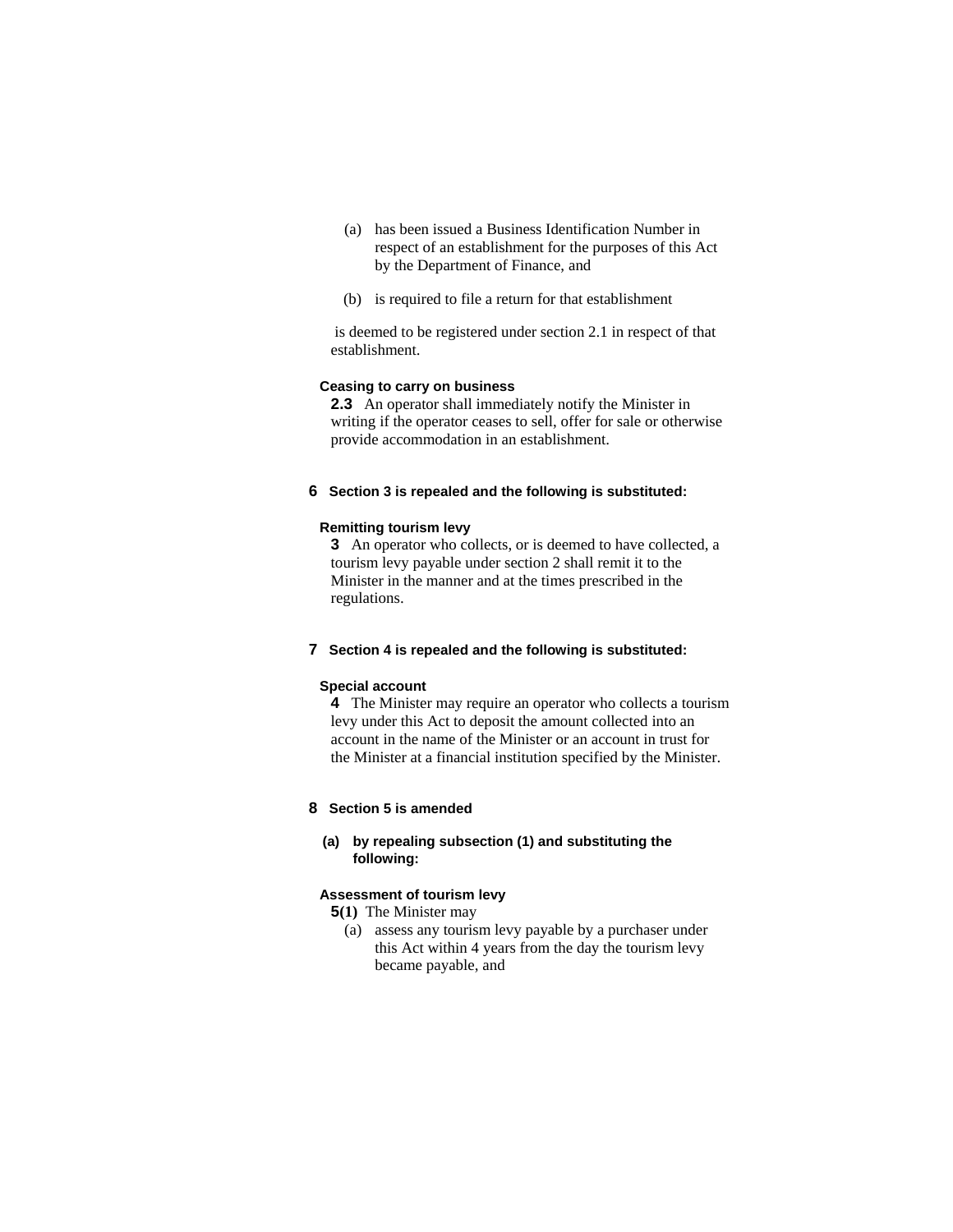- (a) has been issued a Business Identification Number in respect of an establishment for the purposes of this Act by the Department of Finance, and
- (b) is required to file a return for that establishment

 is deemed to be registered under section 2.1 in respect of that establishment.

# **Ceasing to carry on business**

**2.3** An operator shall immediately notify the Minister in writing if the operator ceases to sell, offer for sale or otherwise provide accommodation in an establishment.

# **6 Section 3 is repealed and the following is substituted:**

### **Remitting tourism levy**

**3** An operator who collects, or is deemed to have collected, a tourism levy payable under section 2 shall remit it to the Minister in the manner and at the times prescribed in the regulations.

# **7 Section 4 is repealed and the following is substituted:**

### **Special account**

**4** The Minister may require an operator who collects a tourism levy under this Act to deposit the amount collected into an account in the name of the Minister or an account in trust for the Minister at a financial institution specified by the Minister.

### **8 Section 5 is amended**

# **(a) by repealing subsection (1) and substituting the following:**

#### **Assessment of tourism levy**

**5(1)** The Minister may

 (a) assess any tourism levy payable by a purchaser under this Act within 4 years from the day the tourism levy became payable, and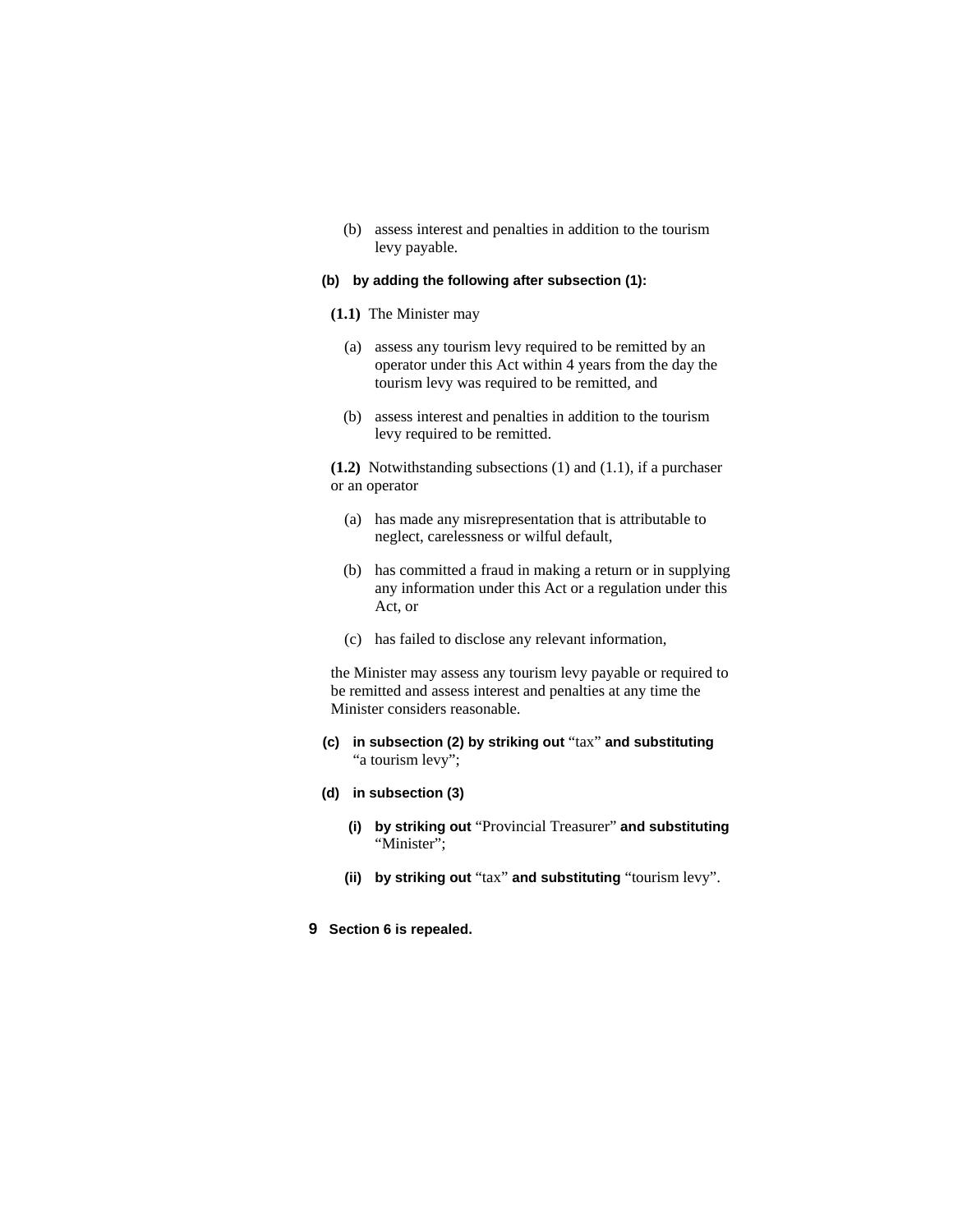(b) assess interest and penalties in addition to the tourism levy payable.

### **(b) by adding the following after subsection (1):**

#### **(1.1)** The Minister may

- (a) assess any tourism levy required to be remitted by an operator under this Act within 4 years from the day the tourism levy was required to be remitted, and
- (b) assess interest and penalties in addition to the tourism levy required to be remitted.

**(1.2)** Notwithstanding subsections (1) and (1.1), if a purchaser or an operator

- (a) has made any misrepresentation that is attributable to neglect, carelessness or wilful default,
- (b) has committed a fraud in making a return or in supplying any information under this Act or a regulation under this Act, or
- (c) has failed to disclose any relevant information,

the Minister may assess any tourism levy payable or required to be remitted and assess interest and penalties at any time the Minister considers reasonable.

**(c) in subsection (2) by striking out** "tax" **and substituting**  "a tourism levy";

### **(d) in subsection (3)**

- **(i) by striking out** "Provincial Treasurer" **and substituting**  "Minister";
- **(ii) by striking out** "tax" **and substituting** "tourism levy".
- **9 Section 6 is repealed.**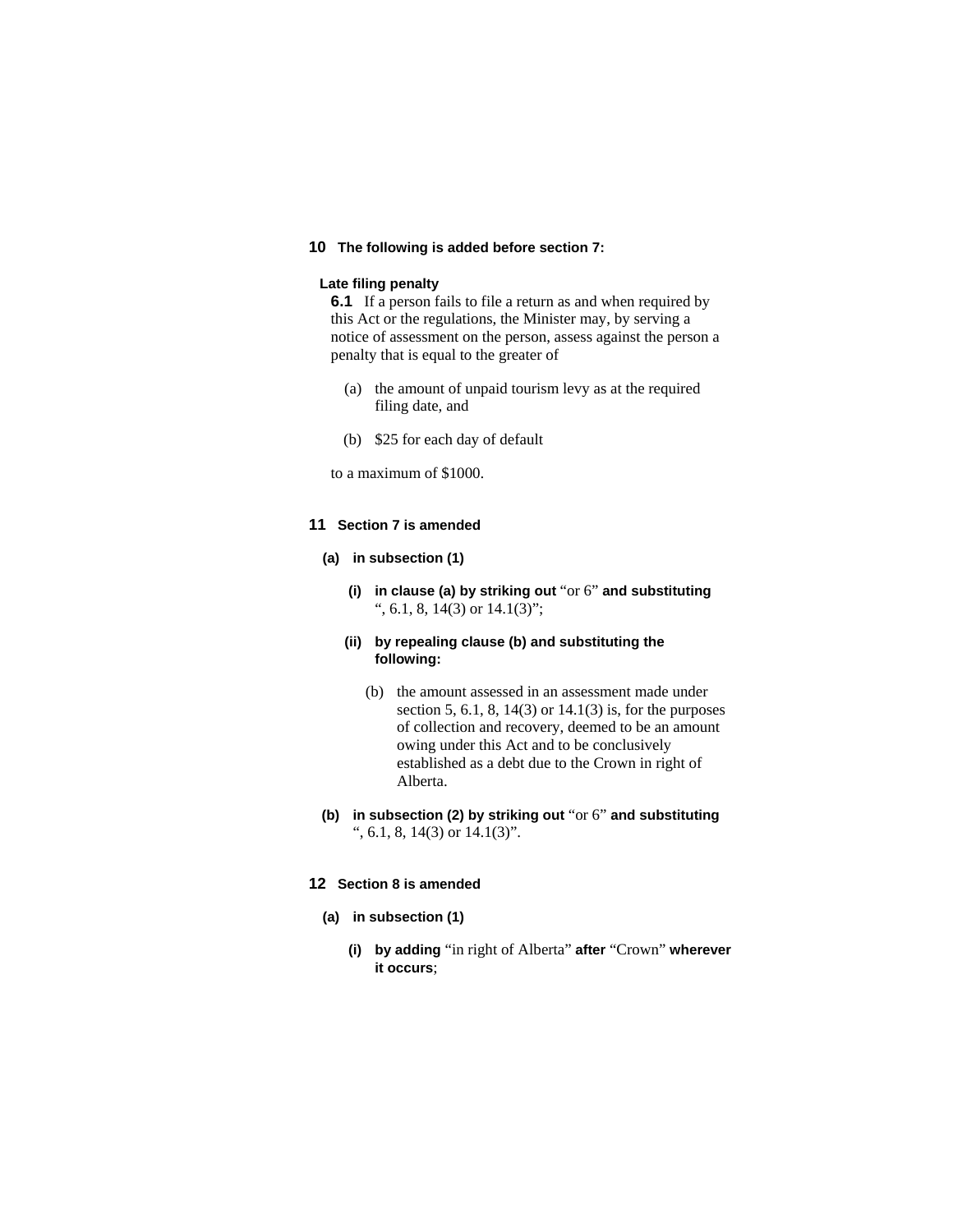# **10 The following is added before section 7:**

### **Late filing penalty**

**6.1** If a person fails to file a return as and when required by this Act or the regulations, the Minister may, by serving a notice of assessment on the person, assess against the person a penalty that is equal to the greater of

- (a) the amount of unpaid tourism levy as at the required filing date, and
- (b) \$25 for each day of default

to a maximum of \$1000.

# **11 Section 7 is amended**

### **(a) in subsection (1)**

**(i) in clause (a) by striking out** "or 6" **and substituting**  ", 6.1, 8, 14(3) or 14.1(3)";

# **(ii) by repealing clause (b) and substituting the following:**

- (b) the amount assessed in an assessment made under section 5, 6.1, 8, 14(3) or  $14.1(3)$  is, for the purposes of collection and recovery, deemed to be an amount owing under this Act and to be conclusively established as a debt due to the Crown in right of Alberta.
- **(b) in subsection (2) by striking out** "or 6" **and substituting**  ", 6.1, 8, 14(3) or 14.1(3)".

### **12 Section 8 is amended**

- **(a) in subsection (1)**
	- **(i) by adding** "in right of Alberta" **after** "Crown" **wherever it occurs**;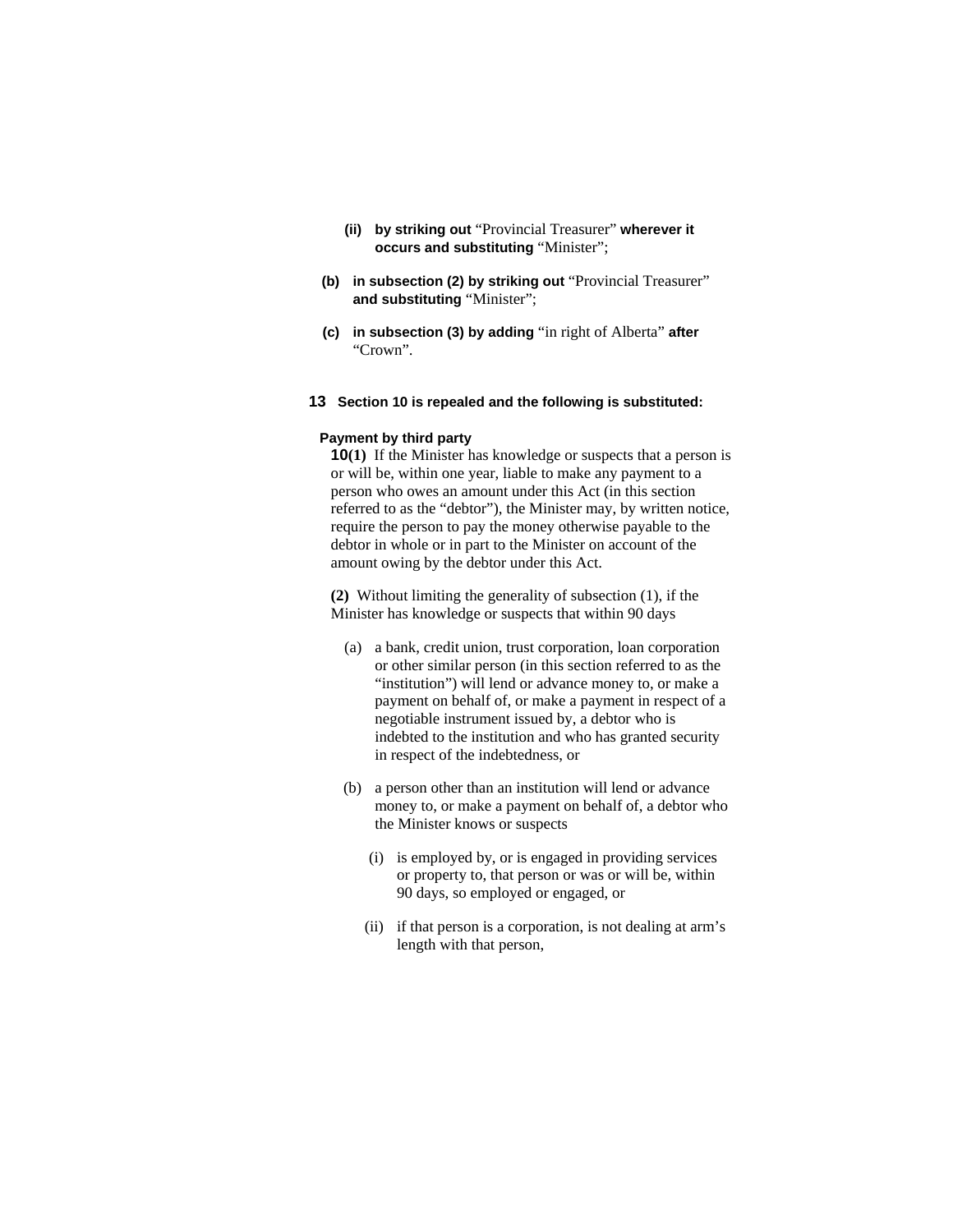- **(ii) by striking out** "Provincial Treasurer" **wherever it occurs and substituting** "Minister";
- **(b) in subsection (2) by striking out** "Provincial Treasurer" **and substituting** "Minister";
- **(c) in subsection (3) by adding** "in right of Alberta" **after**  "Crown".
- **13 Section 10 is repealed and the following is substituted:**

### **Payment by third party**

**10(1)** If the Minister has knowledge or suspects that a person is or will be, within one year, liable to make any payment to a person who owes an amount under this Act (in this section referred to as the "debtor"), the Minister may, by written notice, require the person to pay the money otherwise payable to the debtor in whole or in part to the Minister on account of the amount owing by the debtor under this Act.

**(2)** Without limiting the generality of subsection (1), if the Minister has knowledge or suspects that within 90 days

- (a) a bank, credit union, trust corporation, loan corporation or other similar person (in this section referred to as the "institution") will lend or advance money to, or make a payment on behalf of, or make a payment in respect of a negotiable instrument issued by, a debtor who is indebted to the institution and who has granted security in respect of the indebtedness, or
- (b) a person other than an institution will lend or advance money to, or make a payment on behalf of, a debtor who the Minister knows or suspects
	- (i) is employed by, or is engaged in providing services or property to, that person or was or will be, within 90 days, so employed or engaged, or
	- (ii) if that person is a corporation, is not dealing at arm's length with that person,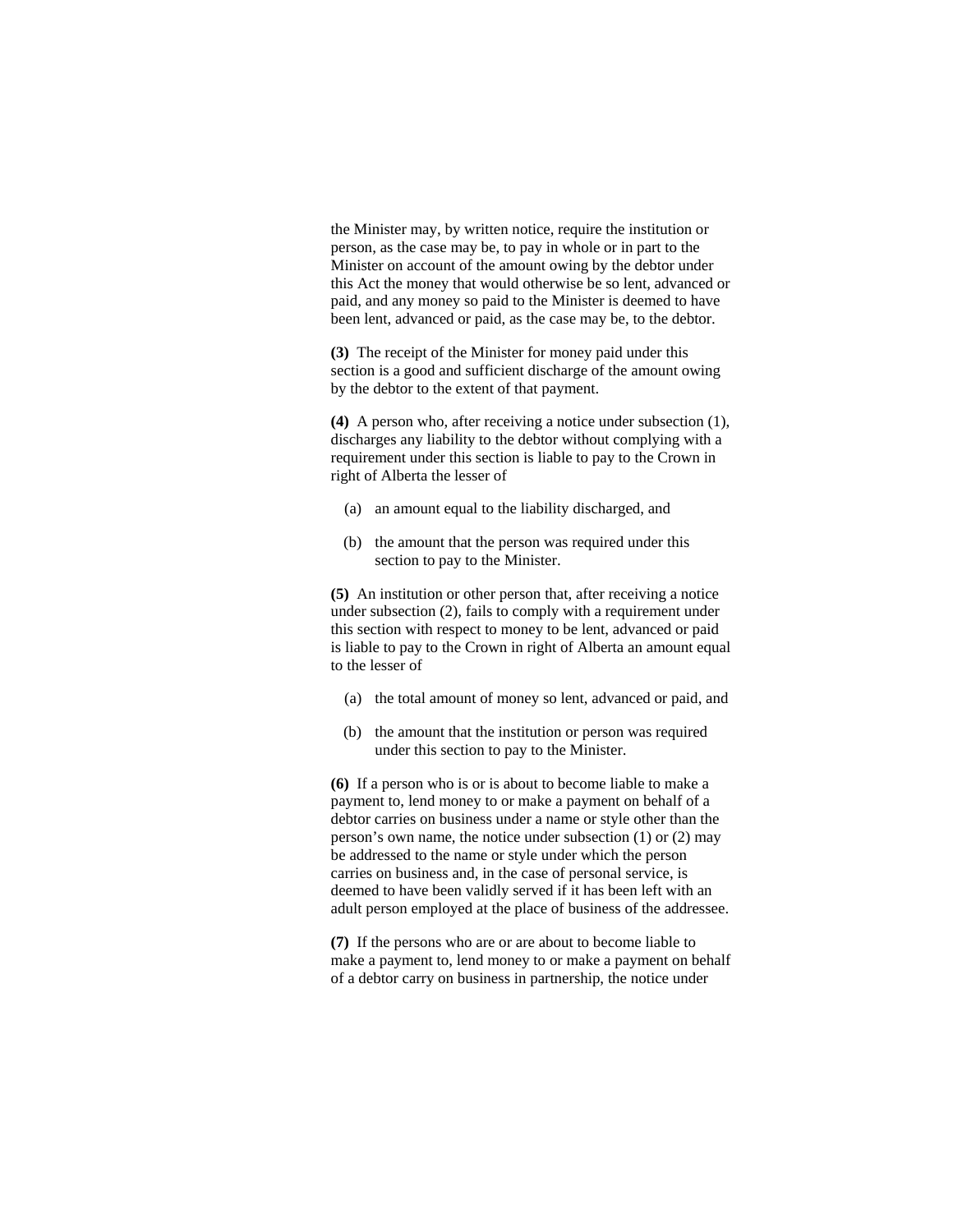the Minister may, by written notice, require the institution or person, as the case may be, to pay in whole or in part to the Minister on account of the amount owing by the debtor under this Act the money that would otherwise be so lent, advanced or paid, and any money so paid to the Minister is deemed to have been lent, advanced or paid, as the case may be, to the debtor.

**(3)** The receipt of the Minister for money paid under this section is a good and sufficient discharge of the amount owing by the debtor to the extent of that payment.

**(4)** A person who, after receiving a notice under subsection (1), discharges any liability to the debtor without complying with a requirement under this section is liable to pay to the Crown in right of Alberta the lesser of

- (a) an amount equal to the liability discharged, and
- (b) the amount that the person was required under this section to pay to the Minister.

**(5)** An institution or other person that, after receiving a notice under subsection (2), fails to comply with a requirement under this section with respect to money to be lent, advanced or paid is liable to pay to the Crown in right of Alberta an amount equal to the lesser of

- (a) the total amount of money so lent, advanced or paid, and
- (b) the amount that the institution or person was required under this section to pay to the Minister.

**(6)** If a person who is or is about to become liable to make a payment to, lend money to or make a payment on behalf of a debtor carries on business under a name or style other than the person's own name, the notice under subsection (1) or (2) may be addressed to the name or style under which the person carries on business and, in the case of personal service, is deemed to have been validly served if it has been left with an adult person employed at the place of business of the addressee.

**(7)** If the persons who are or are about to become liable to make a payment to, lend money to or make a payment on behalf of a debtor carry on business in partnership, the notice under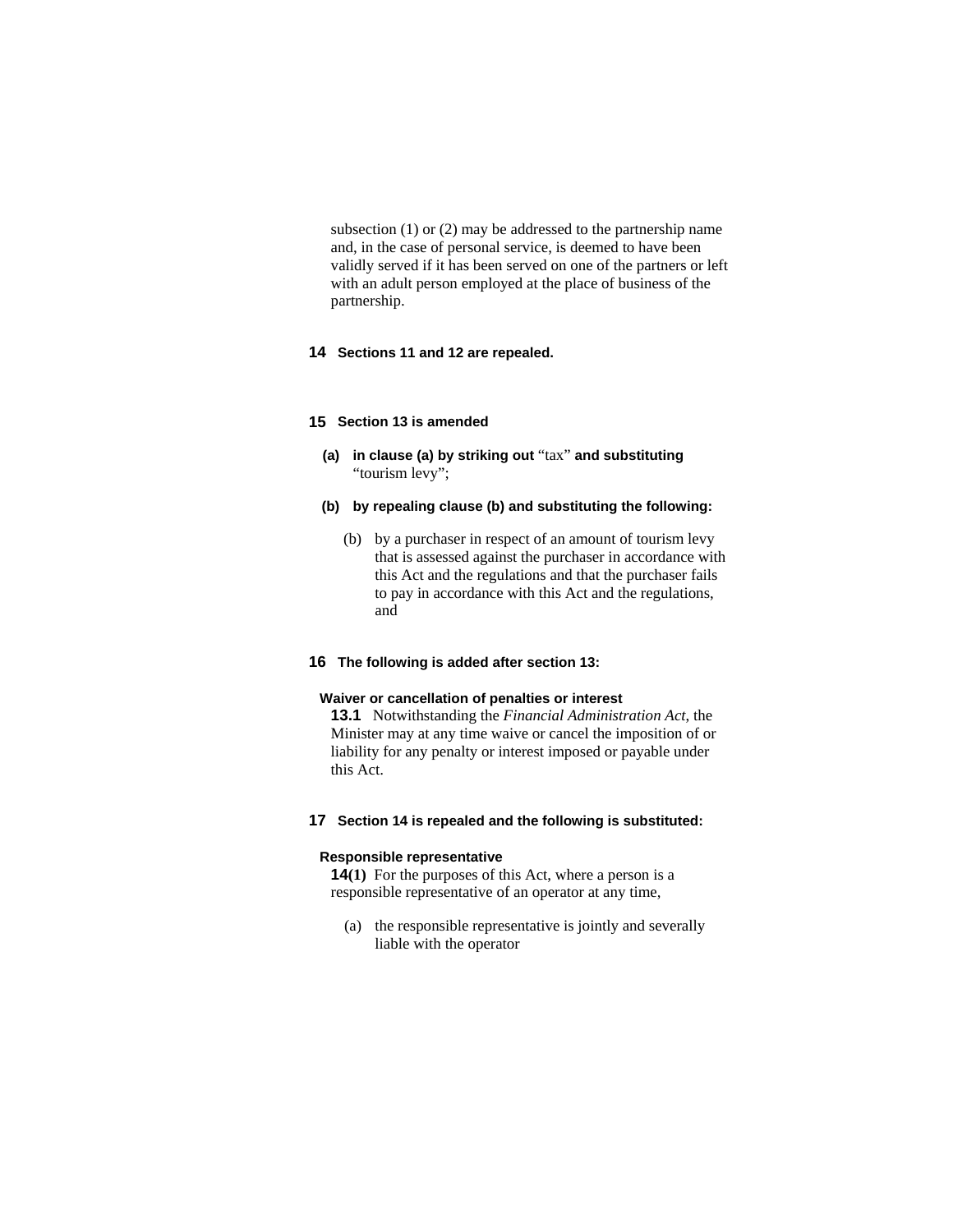subsection (1) or (2) may be addressed to the partnership name and, in the case of personal service, is deemed to have been validly served if it has been served on one of the partners or left with an adult person employed at the place of business of the partnership.

# **14 Sections 11 and 12 are repealed.**

### **15 Section 13 is amended**

- **(a) in clause (a) by striking out** "tax" **and substituting**  "tourism levy";
- **(b) by repealing clause (b) and substituting the following:**
	- (b) by a purchaser in respect of an amount of tourism levy that is assessed against the purchaser in accordance with this Act and the regulations and that the purchaser fails to pay in accordance with this Act and the regulations, and

# **16 The following is added after section 13:**

#### **Waiver or cancellation of penalties or interest**

**13.1** Notwithstanding the *Financial Administration Act*, the Minister may at any time waive or cancel the imposition of or liability for any penalty or interest imposed or payable under this Act.

### **17 Section 14 is repealed and the following is substituted:**

#### **Responsible representative**

**14(1)** For the purposes of this Act, where a person is a responsible representative of an operator at any time,

 (a) the responsible representative is jointly and severally liable with the operator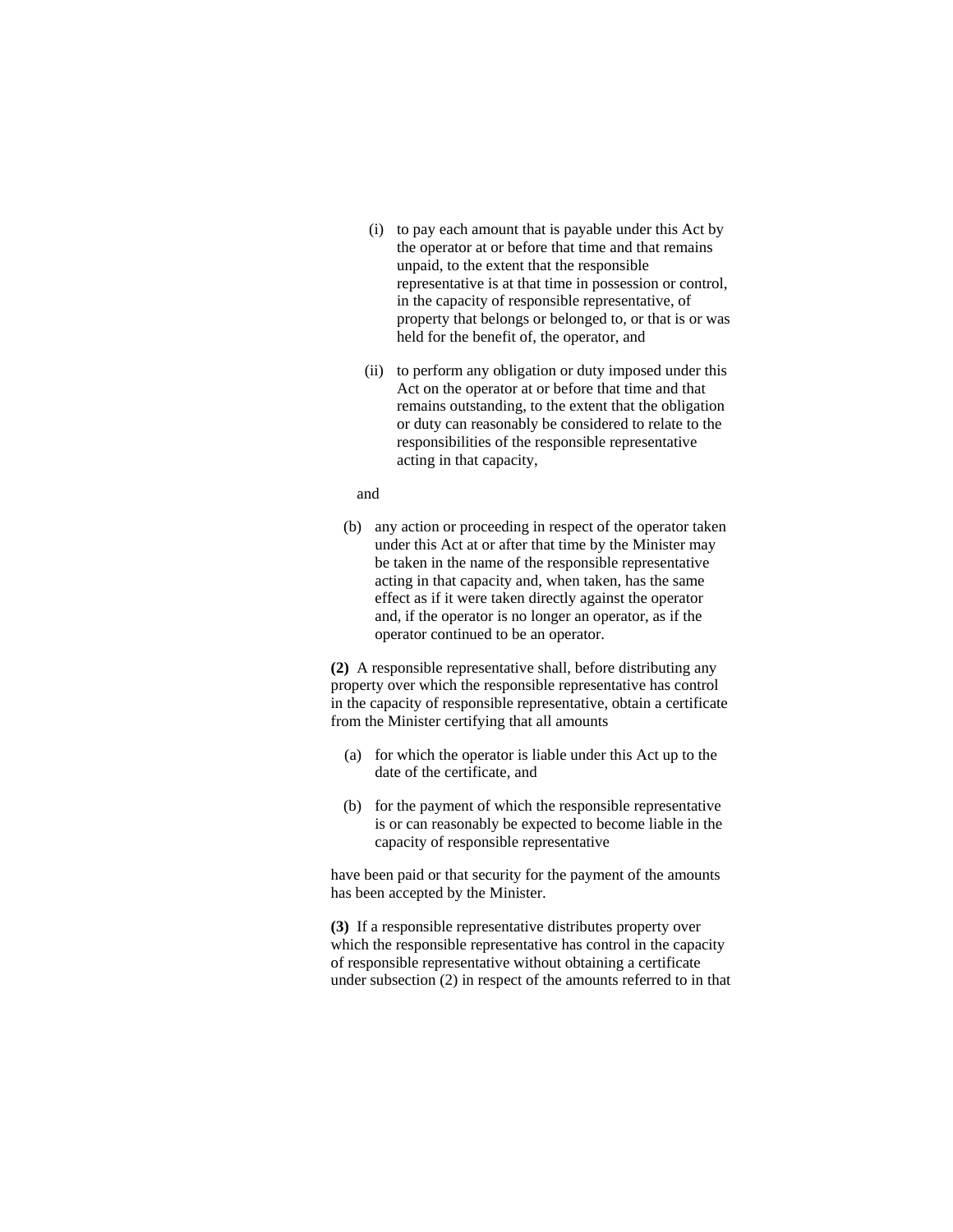- (i) to pay each amount that is payable under this Act by the operator at or before that time and that remains unpaid, to the extent that the responsible representative is at that time in possession or control, in the capacity of responsible representative, of property that belongs or belonged to, or that is or was held for the benefit of, the operator, and
- (ii) to perform any obligation or duty imposed under this Act on the operator at or before that time and that remains outstanding, to the extent that the obligation or duty can reasonably be considered to relate to the responsibilities of the responsible representative acting in that capacity,

#### and

 (b) any action or proceeding in respect of the operator taken under this Act at or after that time by the Minister may be taken in the name of the responsible representative acting in that capacity and, when taken, has the same effect as if it were taken directly against the operator and, if the operator is no longer an operator, as if the operator continued to be an operator.

**(2)** A responsible representative shall, before distributing any property over which the responsible representative has control in the capacity of responsible representative, obtain a certificate from the Minister certifying that all amounts

- (a) for which the operator is liable under this Act up to the date of the certificate, and
- (b) for the payment of which the responsible representative is or can reasonably be expected to become liable in the capacity of responsible representative

have been paid or that security for the payment of the amounts has been accepted by the Minister.

**(3)** If a responsible representative distributes property over which the responsible representative has control in the capacity of responsible representative without obtaining a certificate under subsection (2) in respect of the amounts referred to in that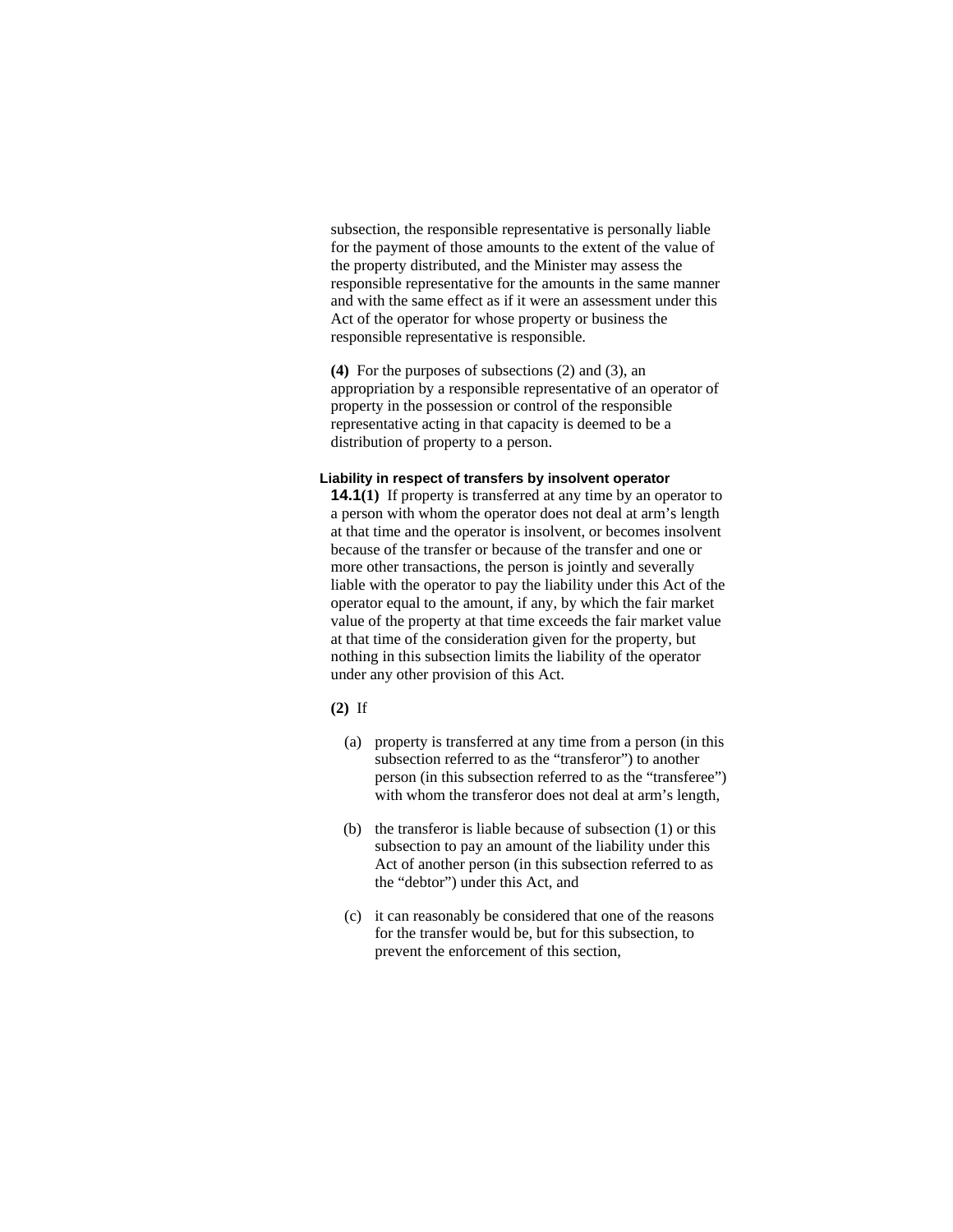subsection, the responsible representative is personally liable for the payment of those amounts to the extent of the value of the property distributed, and the Minister may assess the responsible representative for the amounts in the same manner and with the same effect as if it were an assessment under this Act of the operator for whose property or business the responsible representative is responsible.

**(4)** For the purposes of subsections (2) and (3), an appropriation by a responsible representative of an operator of property in the possession or control of the responsible representative acting in that capacity is deemed to be a distribution of property to a person.

# **Liability in respect of transfers by insolvent operator**

**14.1(1)** If property is transferred at any time by an operator to a person with whom the operator does not deal at arm's length at that time and the operator is insolvent, or becomes insolvent because of the transfer or because of the transfer and one or more other transactions, the person is jointly and severally liable with the operator to pay the liability under this Act of the operator equal to the amount, if any, by which the fair market value of the property at that time exceeds the fair market value at that time of the consideration given for the property, but nothing in this subsection limits the liability of the operator under any other provision of this Act.

#### **(2)** If

- (a) property is transferred at any time from a person (in this subsection referred to as the "transferor") to another person (in this subsection referred to as the "transferee") with whom the transferor does not deal at arm's length,
- (b) the transferor is liable because of subsection (1) or this subsection to pay an amount of the liability under this Act of another person (in this subsection referred to as the "debtor") under this Act, and
- (c) it can reasonably be considered that one of the reasons for the transfer would be, but for this subsection, to prevent the enforcement of this section,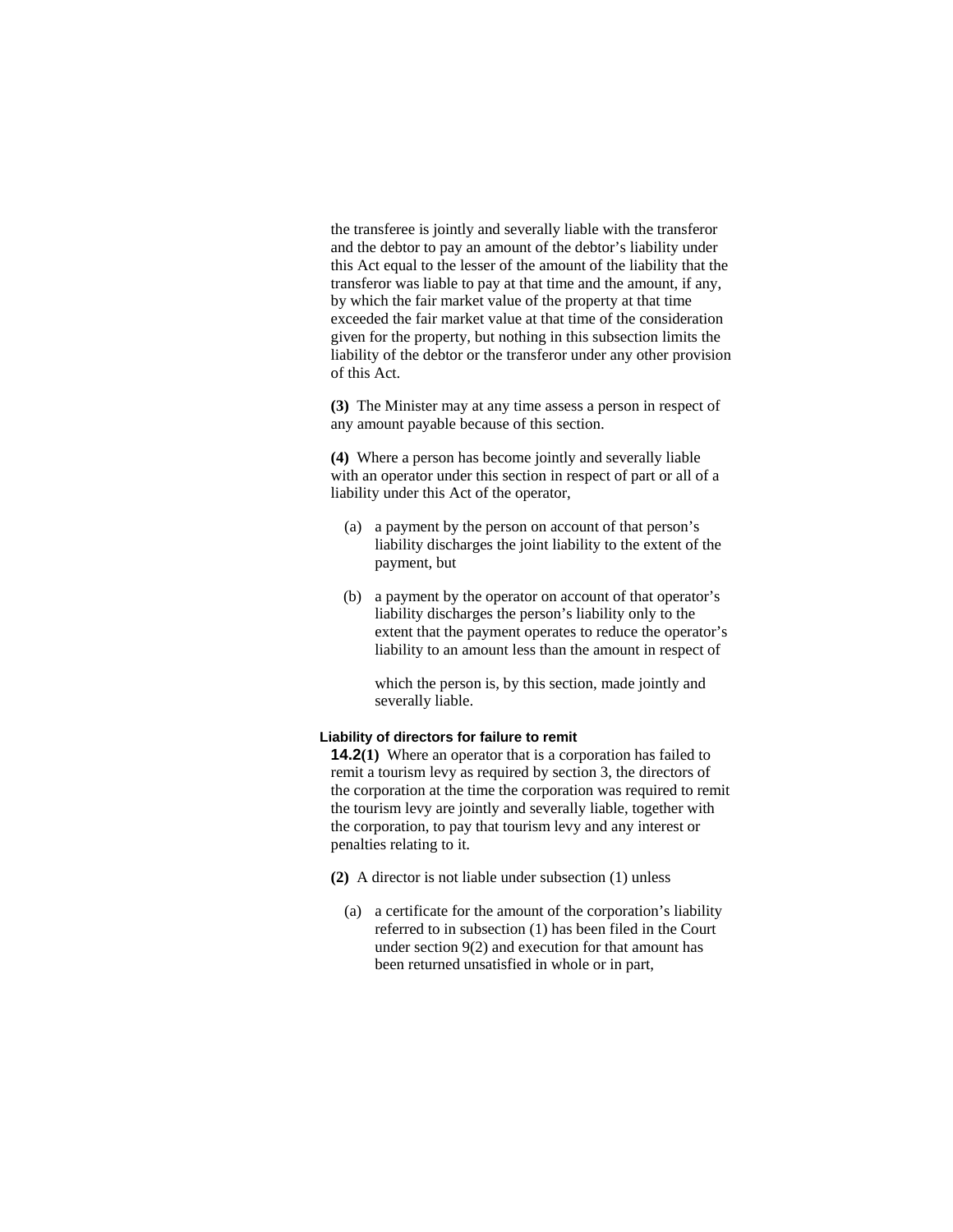the transferee is jointly and severally liable with the transferor and the debtor to pay an amount of the debtor's liability under this Act equal to the lesser of the amount of the liability that the transferor was liable to pay at that time and the amount, if any, by which the fair market value of the property at that time exceeded the fair market value at that time of the consideration given for the property, but nothing in this subsection limits the liability of the debtor or the transferor under any other provision of this Act.

**(3)** The Minister may at any time assess a person in respect of any amount payable because of this section.

**(4)** Where a person has become jointly and severally liable with an operator under this section in respect of part or all of a liability under this Act of the operator,

- (a) a payment by the person on account of that person's liability discharges the joint liability to the extent of the payment, but
- (b) a payment by the operator on account of that operator's liability discharges the person's liability only to the extent that the payment operates to reduce the operator's liability to an amount less than the amount in respect of

 which the person is, by this section, made jointly and severally liable.

# **Liability of directors for failure to remit**

**14.2(1)** Where an operator that is a corporation has failed to remit a tourism levy as required by section 3, the directors of the corporation at the time the corporation was required to remit the tourism levy are jointly and severally liable, together with the corporation, to pay that tourism levy and any interest or penalties relating to it.

- **(2)** A director is not liable under subsection (1) unless
	- (a) a certificate for the amount of the corporation's liability referred to in subsection (1) has been filed in the Court under section 9(2) and execution for that amount has been returned unsatisfied in whole or in part,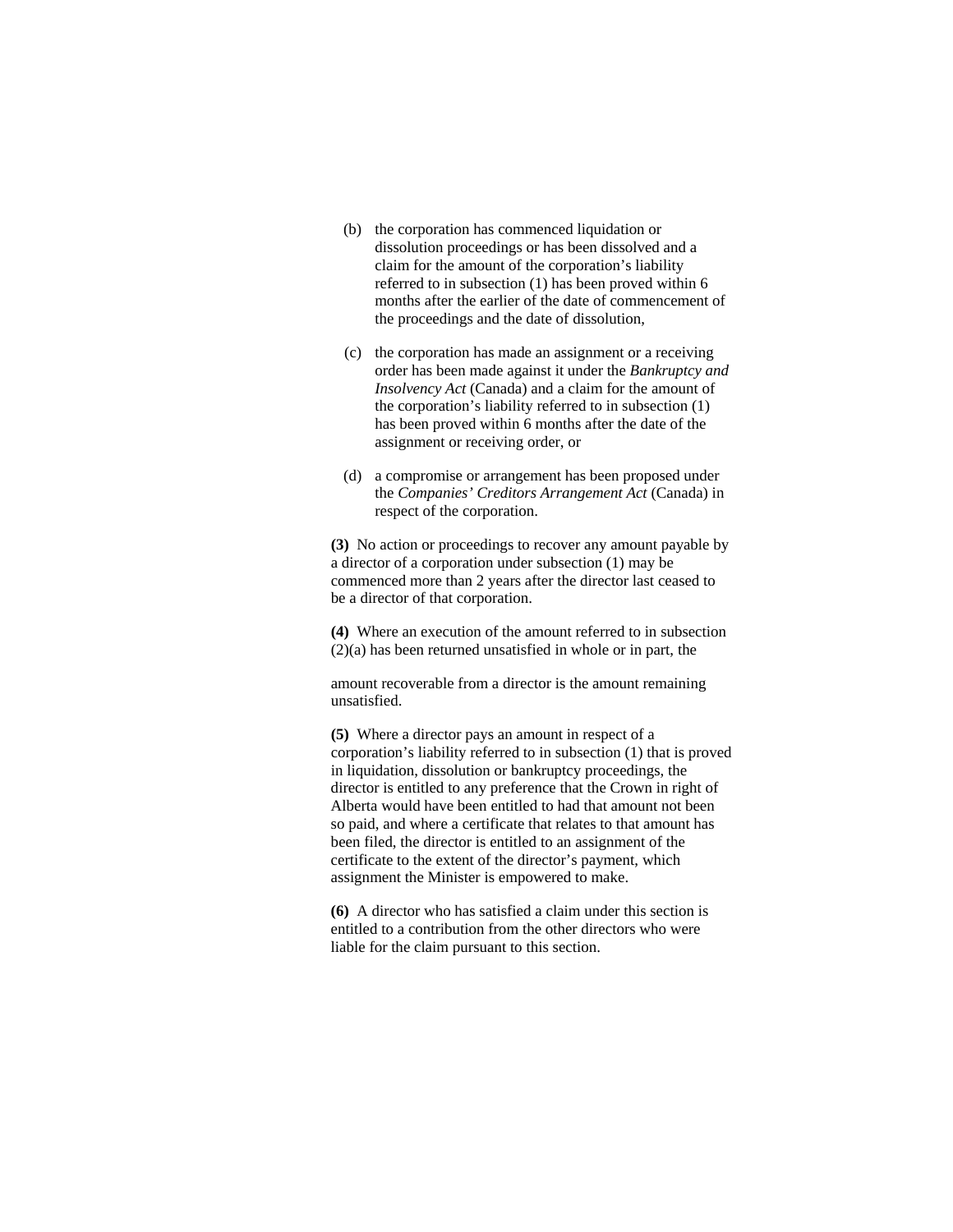- (b) the corporation has commenced liquidation or dissolution proceedings or has been dissolved and a claim for the amount of the corporation's liability referred to in subsection (1) has been proved within 6 months after the earlier of the date of commencement of the proceedings and the date of dissolution,
- (c) the corporation has made an assignment or a receiving order has been made against it under the *Bankruptcy and Insolvency Act* (Canada) and a claim for the amount of the corporation's liability referred to in subsection (1) has been proved within 6 months after the date of the assignment or receiving order, or
- (d) a compromise or arrangement has been proposed under the *Companies' Creditors Arrangement Act* (Canada) in respect of the corporation.

**(3)** No action or proceedings to recover any amount payable by a director of a corporation under subsection (1) may be commenced more than 2 years after the director last ceased to be a director of that corporation.

**(4)** Where an execution of the amount referred to in subsection (2)(a) has been returned unsatisfied in whole or in part, the

amount recoverable from a director is the amount remaining unsatisfied.

**(5)** Where a director pays an amount in respect of a corporation's liability referred to in subsection (1) that is proved in liquidation, dissolution or bankruptcy proceedings, the director is entitled to any preference that the Crown in right of Alberta would have been entitled to had that amount not been so paid, and where a certificate that relates to that amount has been filed, the director is entitled to an assignment of the certificate to the extent of the director's payment, which assignment the Minister is empowered to make.

**(6)** A director who has satisfied a claim under this section is entitled to a contribution from the other directors who were liable for the claim pursuant to this section.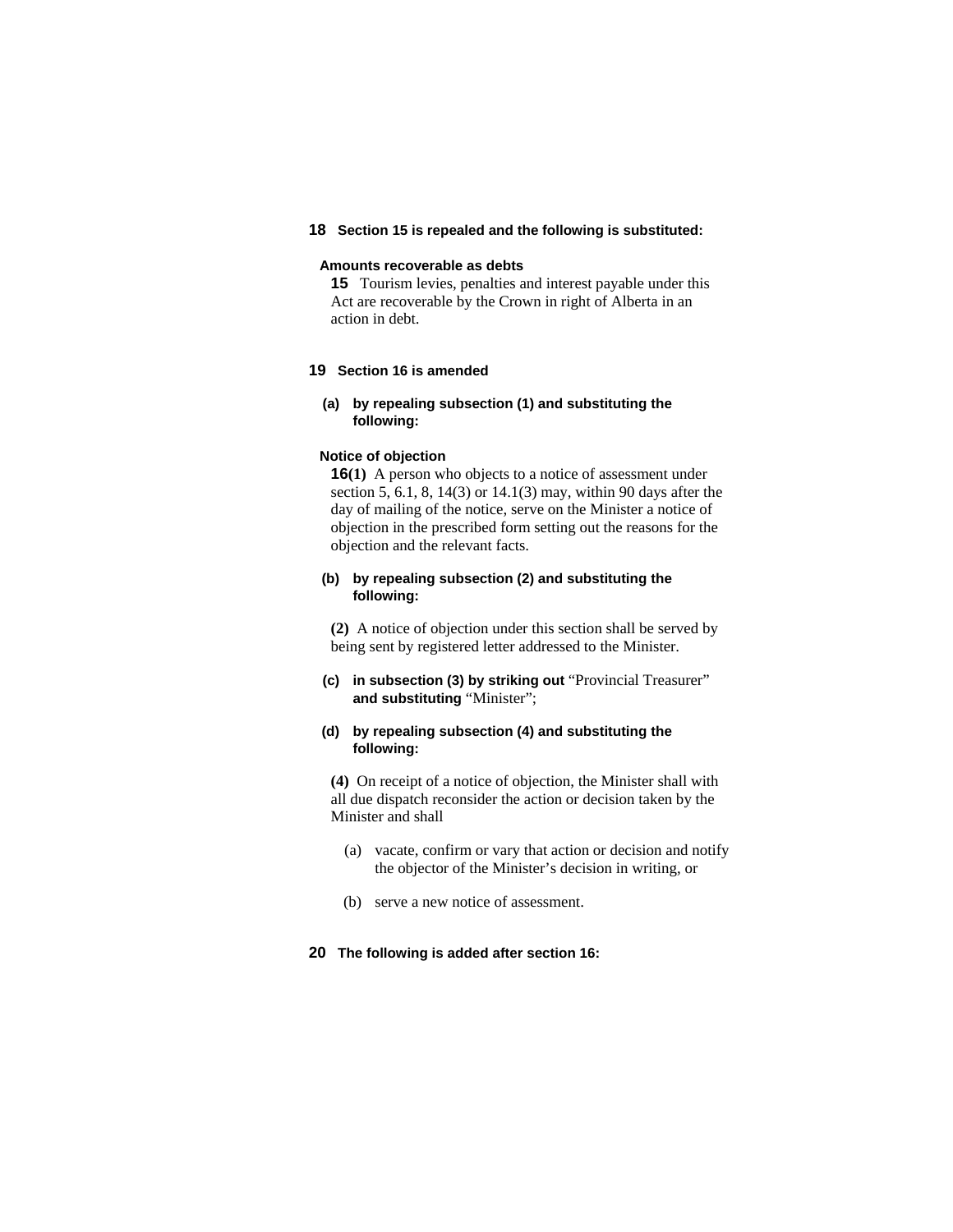# **18 Section 15 is repealed and the following is substituted:**

### **Amounts recoverable as debts**

**15** Tourism levies, penalties and interest payable under this Act are recoverable by the Crown in right of Alberta in an action in debt.

# **19 Section 16 is amended**

# **(a) by repealing subsection (1) and substituting the following:**

#### **Notice of objection**

**16(1)** A person who objects to a notice of assessment under section 5, 6.1, 8, 14(3) or 14.1(3) may, within 90 days after the day of mailing of the notice, serve on the Minister a notice of objection in the prescribed form setting out the reasons for the objection and the relevant facts.

### **(b) by repealing subsection (2) and substituting the following:**

**(2)** A notice of objection under this section shall be served by being sent by registered letter addressed to the Minister.

**(c) in subsection (3) by striking out** "Provincial Treasurer" **and substituting** "Minister";

# **(d) by repealing subsection (4) and substituting the following:**

**(4)** On receipt of a notice of objection, the Minister shall with all due dispatch reconsider the action or decision taken by the Minister and shall

- (a) vacate, confirm or vary that action or decision and notify the objector of the Minister's decision in writing, or
- (b) serve a new notice of assessment.

# **20 The following is added after section 16:**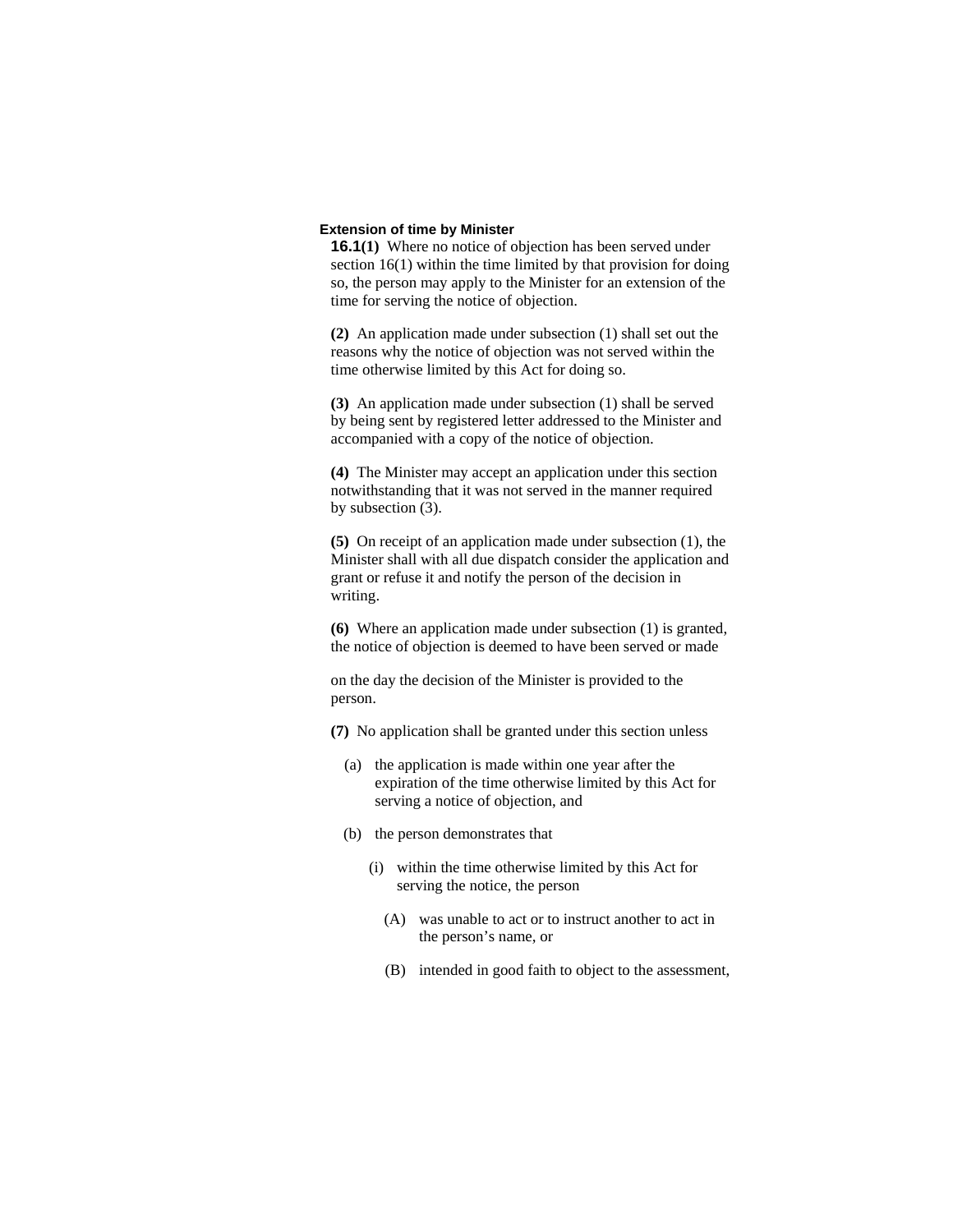### **Extension of time by Minister**

**16.1(1)** Where no notice of objection has been served under section 16(1) within the time limited by that provision for doing so, the person may apply to the Minister for an extension of the time for serving the notice of objection.

**(2)** An application made under subsection (1) shall set out the reasons why the notice of objection was not served within the time otherwise limited by this Act for doing so.

**(3)** An application made under subsection (1) shall be served by being sent by registered letter addressed to the Minister and accompanied with a copy of the notice of objection.

**(4)** The Minister may accept an application under this section notwithstanding that it was not served in the manner required by subsection (3).

**(5)** On receipt of an application made under subsection (1), the Minister shall with all due dispatch consider the application and grant or refuse it and notify the person of the decision in writing.

**(6)** Where an application made under subsection (1) is granted, the notice of objection is deemed to have been served or made

on the day the decision of the Minister is provided to the person.

- **(7)** No application shall be granted under this section unless
	- (a) the application is made within one year after the expiration of the time otherwise limited by this Act for serving a notice of objection, and
	- (b) the person demonstrates that
		- (i) within the time otherwise limited by this Act for serving the notice, the person
			- (A) was unable to act or to instruct another to act in the person's name, or
			- (B) intended in good faith to object to the assessment,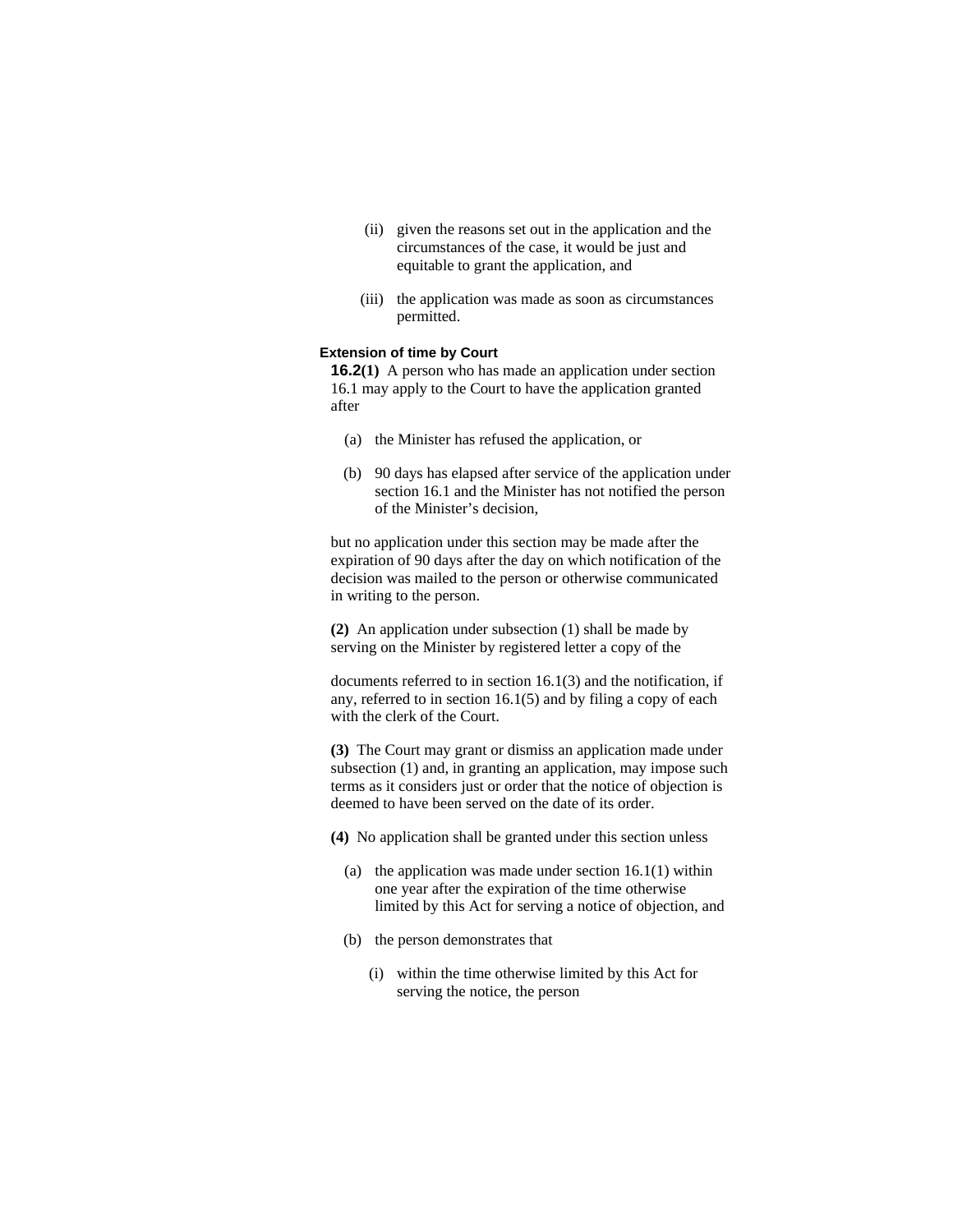- (ii) given the reasons set out in the application and the circumstances of the case, it would be just and equitable to grant the application, and
- (iii) the application was made as soon as circumstances permitted.

#### **Extension of time by Court**

**16.2(1)** A person who has made an application under section 16.1 may apply to the Court to have the application granted after

- (a) the Minister has refused the application, or
- (b) 90 days has elapsed after service of the application under section 16.1 and the Minister has not notified the person of the Minister's decision,

but no application under this section may be made after the expiration of 90 days after the day on which notification of the decision was mailed to the person or otherwise communicated in writing to the person.

**(2)** An application under subsection (1) shall be made by serving on the Minister by registered letter a copy of the

documents referred to in section 16.1(3) and the notification, if any, referred to in section 16.1(5) and by filing a copy of each with the clerk of the Court.

**(3)** The Court may grant or dismiss an application made under subsection (1) and, in granting an application, may impose such terms as it considers just or order that the notice of objection is deemed to have been served on the date of its order.

**(4)** No application shall be granted under this section unless

- (a) the application was made under section  $16.1(1)$  within one year after the expiration of the time otherwise limited by this Act for serving a notice of objection, and
- (b) the person demonstrates that
	- (i) within the time otherwise limited by this Act for serving the notice, the person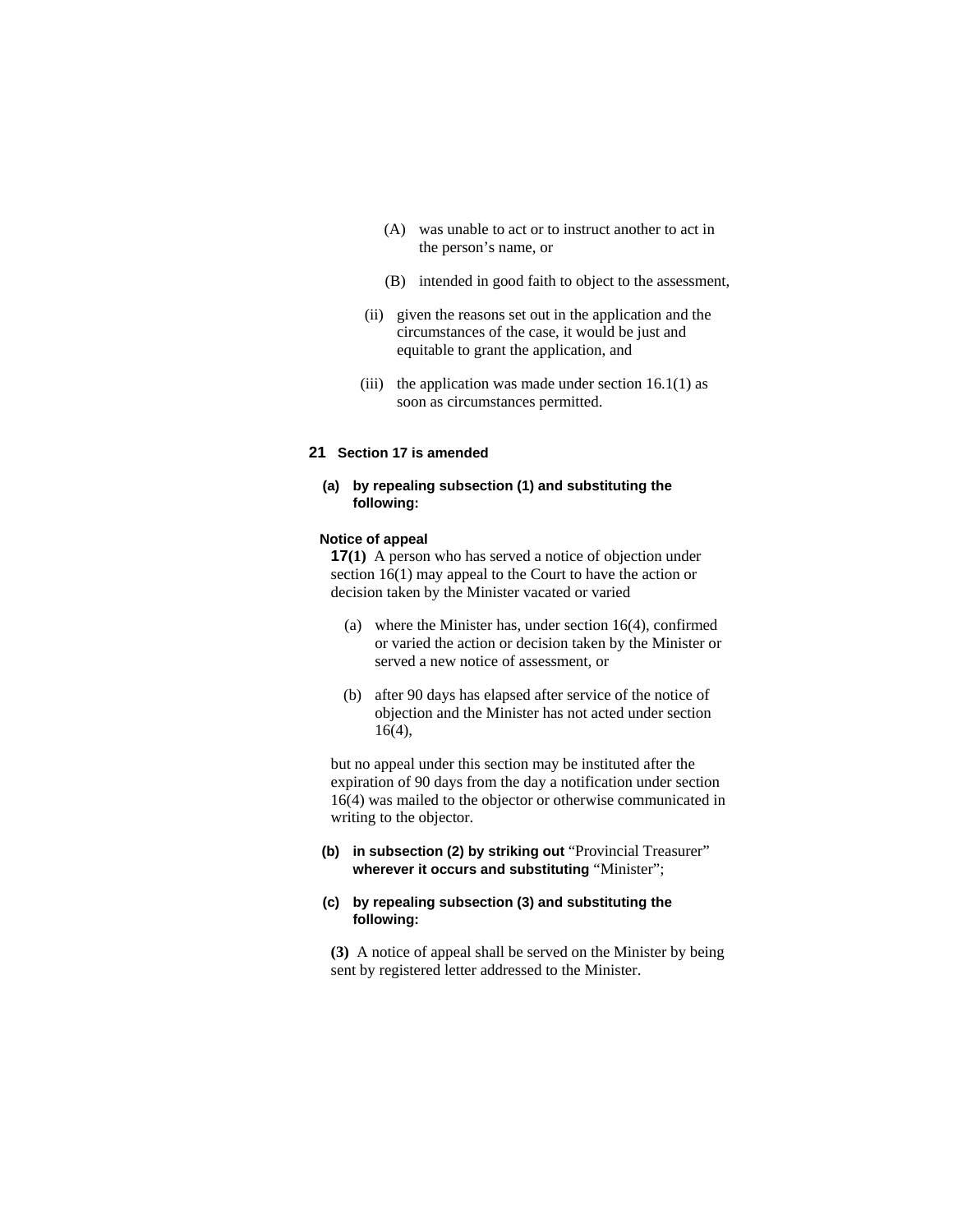- (A) was unable to act or to instruct another to act in the person's name, or
- (B) intended in good faith to object to the assessment,
- (ii) given the reasons set out in the application and the circumstances of the case, it would be just and equitable to grant the application, and
- (iii) the application was made under section  $16.1(1)$  as soon as circumstances permitted.

# **21 Section 17 is amended**

# **(a) by repealing subsection (1) and substituting the following:**

# **Notice of appeal**

**17(1)** A person who has served a notice of objection under section 16(1) may appeal to the Court to have the action or decision taken by the Minister vacated or varied

- (a) where the Minister has, under section 16(4), confirmed or varied the action or decision taken by the Minister or served a new notice of assessment, or
- (b) after 90 days has elapsed after service of the notice of objection and the Minister has not acted under section 16(4),

but no appeal under this section may be instituted after the expiration of 90 days from the day a notification under section 16(4) was mailed to the objector or otherwise communicated in writing to the objector.

**(b) in subsection (2) by striking out** "Provincial Treasurer" **wherever it occurs and substituting** "Minister";

### **(c) by repealing subsection (3) and substituting the following:**

**(3)** A notice of appeal shall be served on the Minister by being sent by registered letter addressed to the Minister.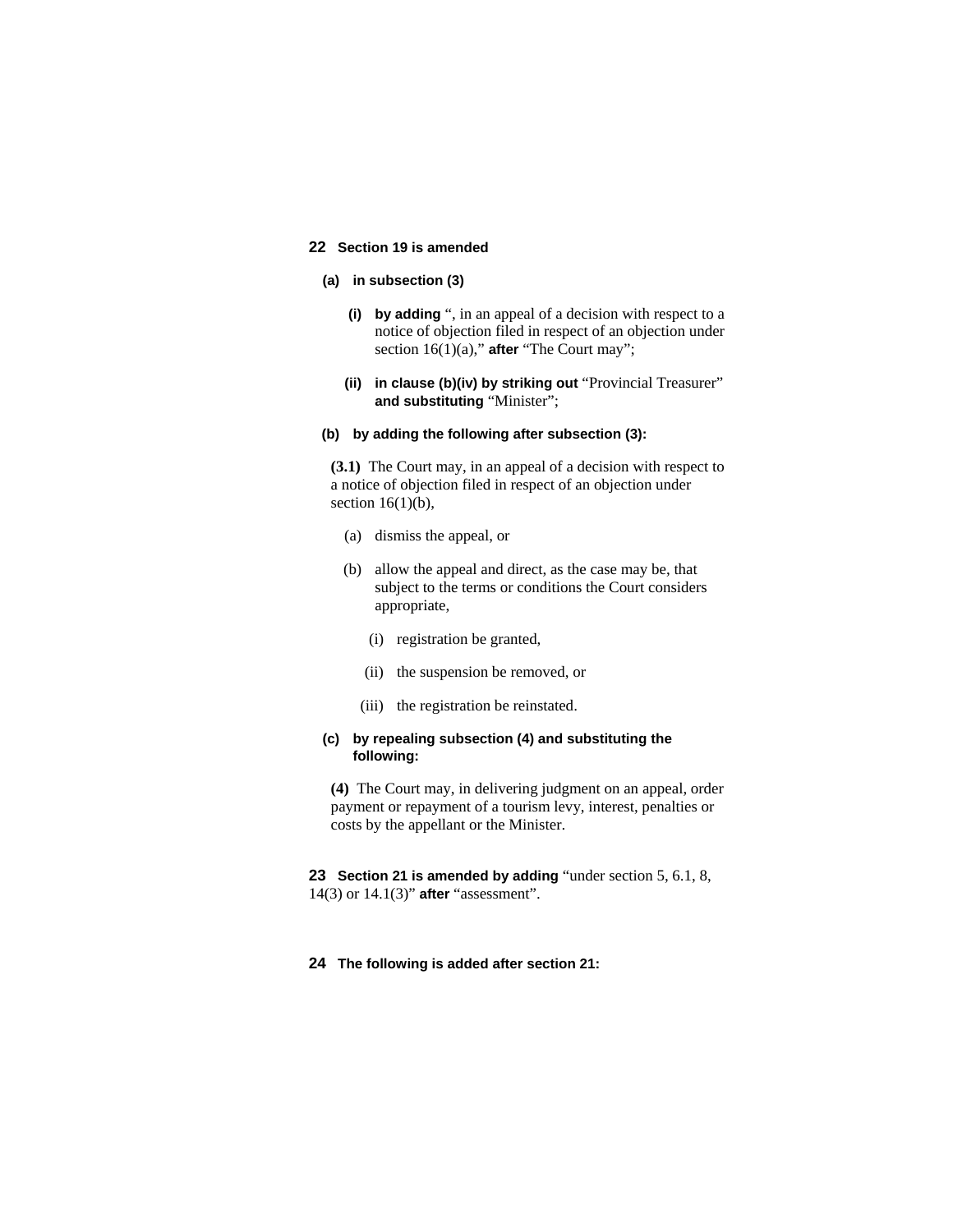# **22 Section 19 is amended**

# **(a) in subsection (3)**

- **(i) by adding** ", in an appeal of a decision with respect to a notice of objection filed in respect of an objection under section 16(1)(a)," **after** "The Court may";
- **(ii) in clause (b)(iv) by striking out** "Provincial Treasurer" **and substituting** "Minister";

#### **(b) by adding the following after subsection (3):**

**(3.1)** The Court may, in an appeal of a decision with respect to a notice of objection filed in respect of an objection under section  $16(1)(b)$ ,

- (a) dismiss the appeal, or
- (b) allow the appeal and direct, as the case may be, that subject to the terms or conditions the Court considers appropriate,
	- (i) registration be granted,
	- (ii) the suspension be removed, or
	- (iii) the registration be reinstated.

### **(c) by repealing subsection (4) and substituting the following:**

**(4)** The Court may, in delivering judgment on an appeal, order payment or repayment of a tourism levy, interest, penalties or costs by the appellant or the Minister.

**23 Section 21 is amended by adding** "under section 5, 6.1, 8, 14(3) or 14.1(3)" **after** "assessment".

### **24 The following is added after section 21:**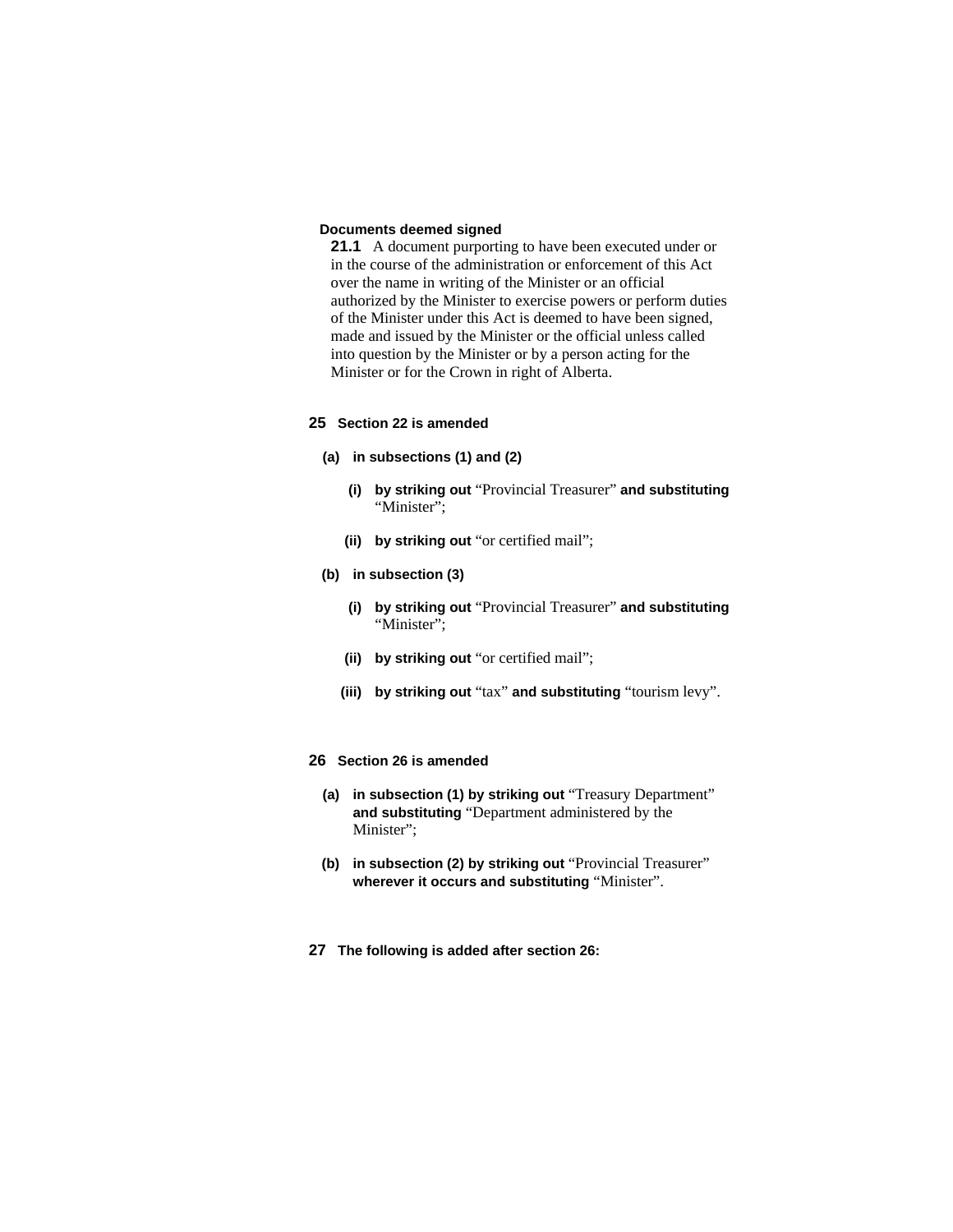### **Documents deemed signed**

**21.1** A document purporting to have been executed under or in the course of the administration or enforcement of this Act over the name in writing of the Minister or an official authorized by the Minister to exercise powers or perform duties of the Minister under this Act is deemed to have been signed, made and issued by the Minister or the official unless called into question by the Minister or by a person acting for the Minister or for the Crown in right of Alberta.

### **25 Section 22 is amended**

#### **(a) in subsections (1) and (2)**

- **(i) by striking out** "Provincial Treasurer" **and substituting**  "Minister":
- **(ii) by striking out** "or certified mail";
- **(b) in subsection (3)**
	- **(i) by striking out** "Provincial Treasurer" **and substituting**  "Minister";
	- **(ii) by striking out** "or certified mail";
	- **(iii) by striking out** "tax" **and substituting** "tourism levy".

# **26 Section 26 is amended**

- **(a) in subsection (1) by striking out** "Treasury Department" **and substituting** "Department administered by the Minister";
- **(b) in subsection (2) by striking out** "Provincial Treasurer" **wherever it occurs and substituting** "Minister".
- **27 The following is added after section 26:**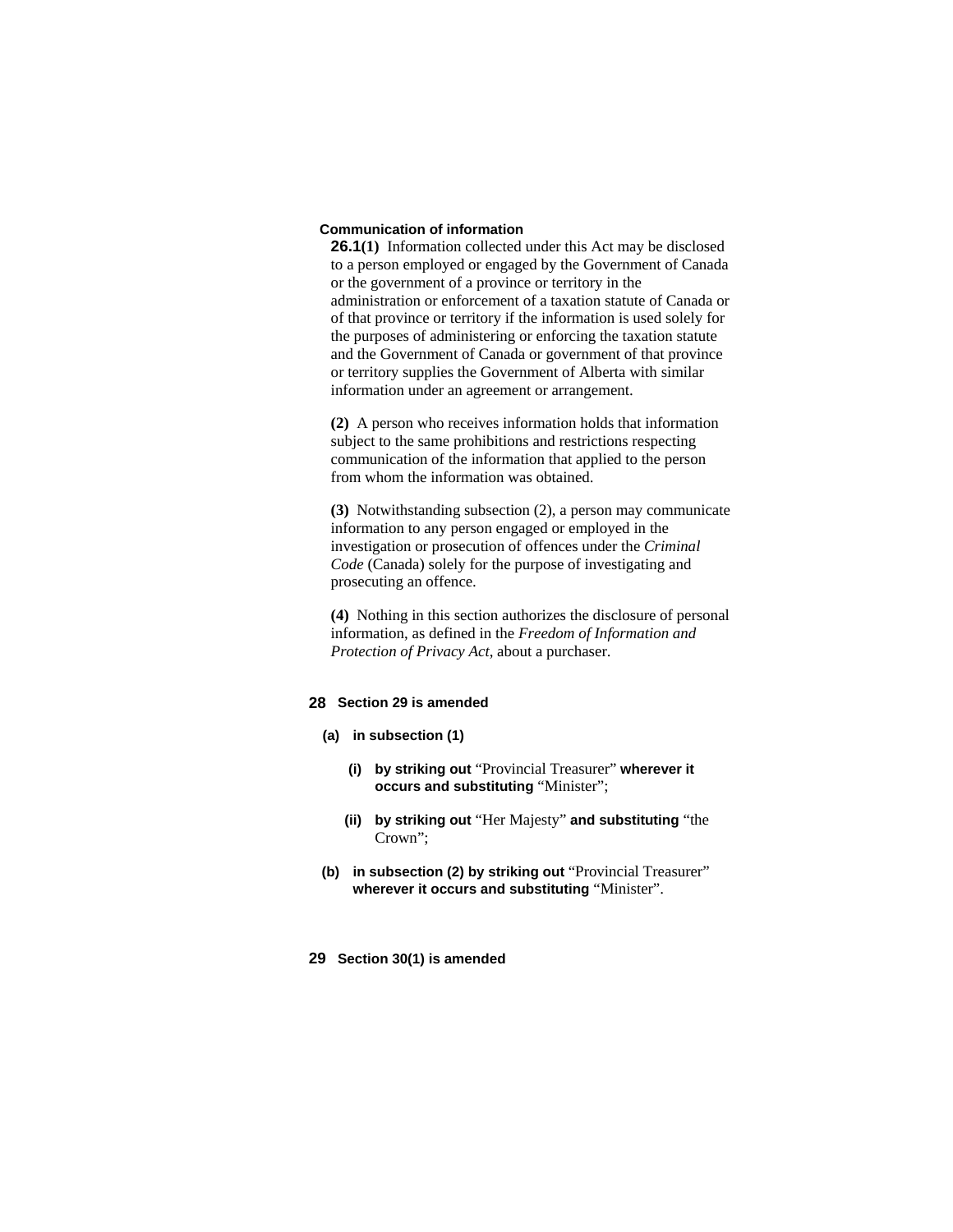### **Communication of information**

**26.1(1)** Information collected under this Act may be disclosed to a person employed or engaged by the Government of Canada or the government of a province or territory in the administration or enforcement of a taxation statute of Canada or of that province or territory if the information is used solely for the purposes of administering or enforcing the taxation statute and the Government of Canada or government of that province or territory supplies the Government of Alberta with similar information under an agreement or arrangement.

**(2)** A person who receives information holds that information subject to the same prohibitions and restrictions respecting communication of the information that applied to the person from whom the information was obtained.

**(3)** Notwithstanding subsection (2), a person may communicate information to any person engaged or employed in the investigation or prosecution of offences under the *Criminal Code* (Canada) solely for the purpose of investigating and prosecuting an offence.

**(4)** Nothing in this section authorizes the disclosure of personal information, as defined in the *Freedom of Information and Protection of Privacy Act*, about a purchaser.

# **28 Section 29 is amended**

- **(a) in subsection (1)**
	- **(i) by striking out** "Provincial Treasurer" **wherever it occurs and substituting** "Minister";
	- **(ii) by striking out** "Her Majesty" **and substituting** "the Crown";
- **(b) in subsection (2) by striking out** "Provincial Treasurer" **wherever it occurs and substituting** "Minister".
- **29 Section 30(1) is amended**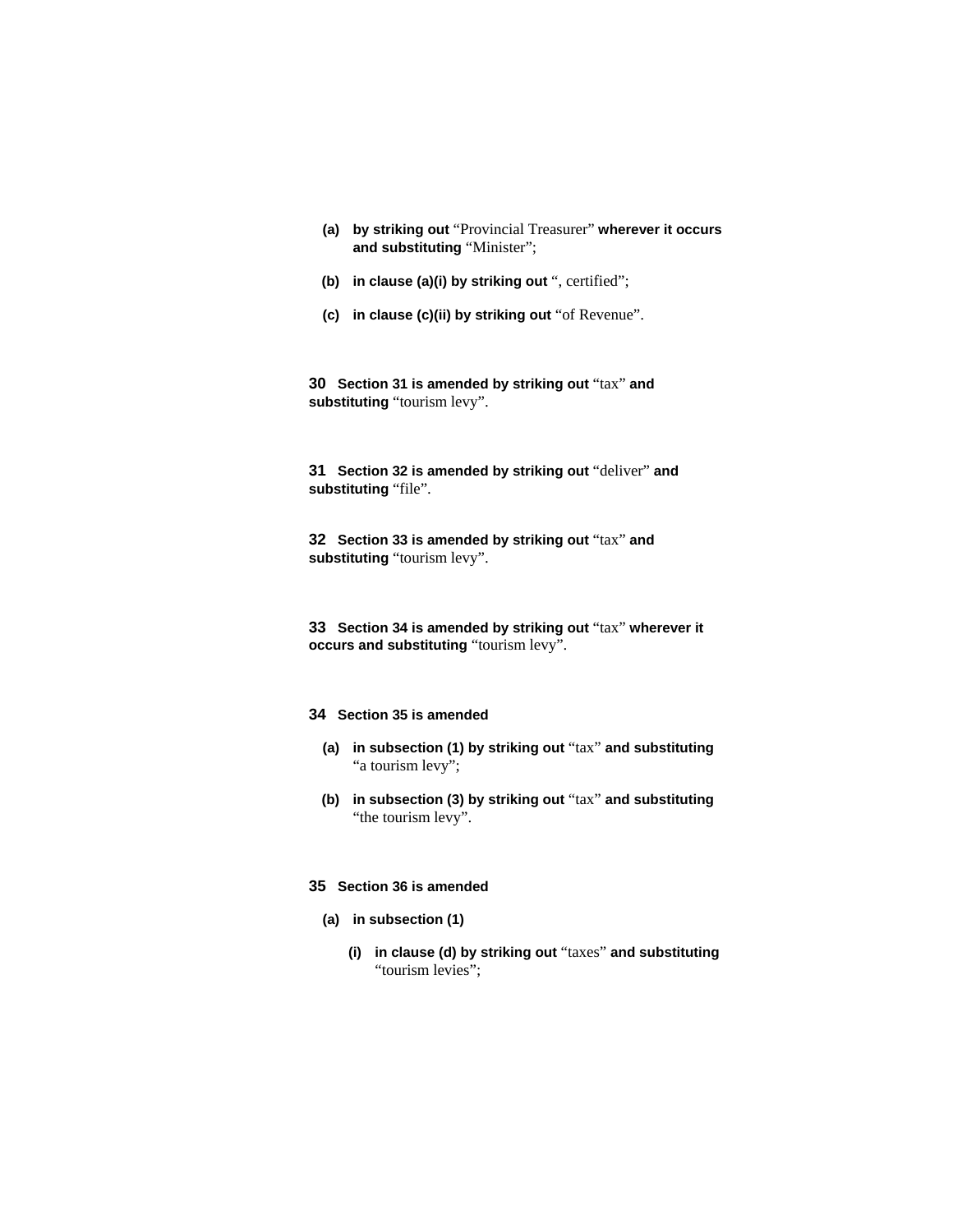- **(a) by striking out** "Provincial Treasurer" **wherever it occurs and substituting** "Minister";
- **(b) in clause (a)(i) by striking out** ", certified";
- **(c) in clause (c)(ii) by striking out** "of Revenue".

**30 Section 31 is amended by striking out** "tax" **and substituting** "tourism levy".

**31 Section 32 is amended by striking out** "deliver" **and substituting** "file".

**32 Section 33 is amended by striking out** "tax" **and substituting** "tourism levy".

**33 Section 34 is amended by striking out** "tax" **wherever it occurs and substituting** "tourism levy".

# **34 Section 35 is amended**

- **(a) in subsection (1) by striking out** "tax" **and substituting**  "a tourism levy";
- **(b) in subsection (3) by striking out** "tax" **and substituting**  "the tourism levy".

### **35 Section 36 is amended**

- **(a) in subsection (1)**
	- **(i) in clause (d) by striking out** "taxes" **and substituting**  "tourism levies";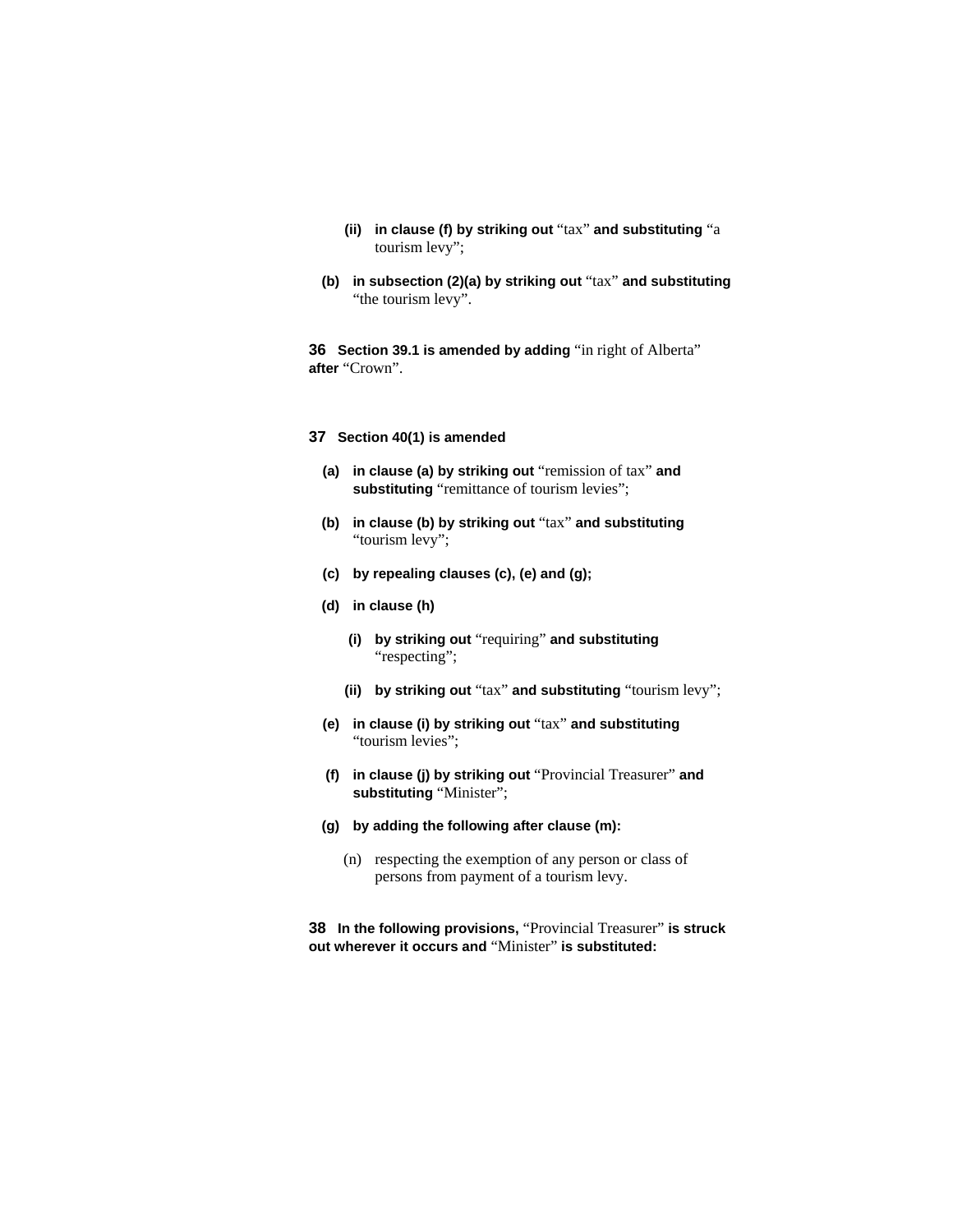- **(ii) in clause (f) by striking out** "tax" **and substituting** "a tourism levy";
- **(b) in subsection (2)(a) by striking out** "tax" **and substituting**  "the tourism levy".

**36 Section 39.1 is amended by adding** "in right of Alberta" **after** "Crown".

### **37 Section 40(1) is amended**

- **(a) in clause (a) by striking out** "remission of tax" **and**  substituting "remittance of tourism levies";
- **(b) in clause (b) by striking out** "tax" **and substituting**  "tourism levy";
- **(c) by repealing clauses (c), (e) and (g);**
- **(d) in clause (h)**
	- **(i) by striking out** "requiring" **and substituting**  "respecting";
	- **(ii) by striking out** "tax" **and substituting** "tourism levy";
- **(e) in clause (i) by striking out** "tax" **and substituting**  "tourism levies";
- **(f) in clause (j) by striking out** "Provincial Treasurer" **and substituting** "Minister";
- **(g) by adding the following after clause (m):**
	- (n) respecting the exemption of any person or class of persons from payment of a tourism levy.

**38 In the following provisions,** "Provincial Treasurer" **is struck out wherever it occurs and** "Minister" **is substituted:**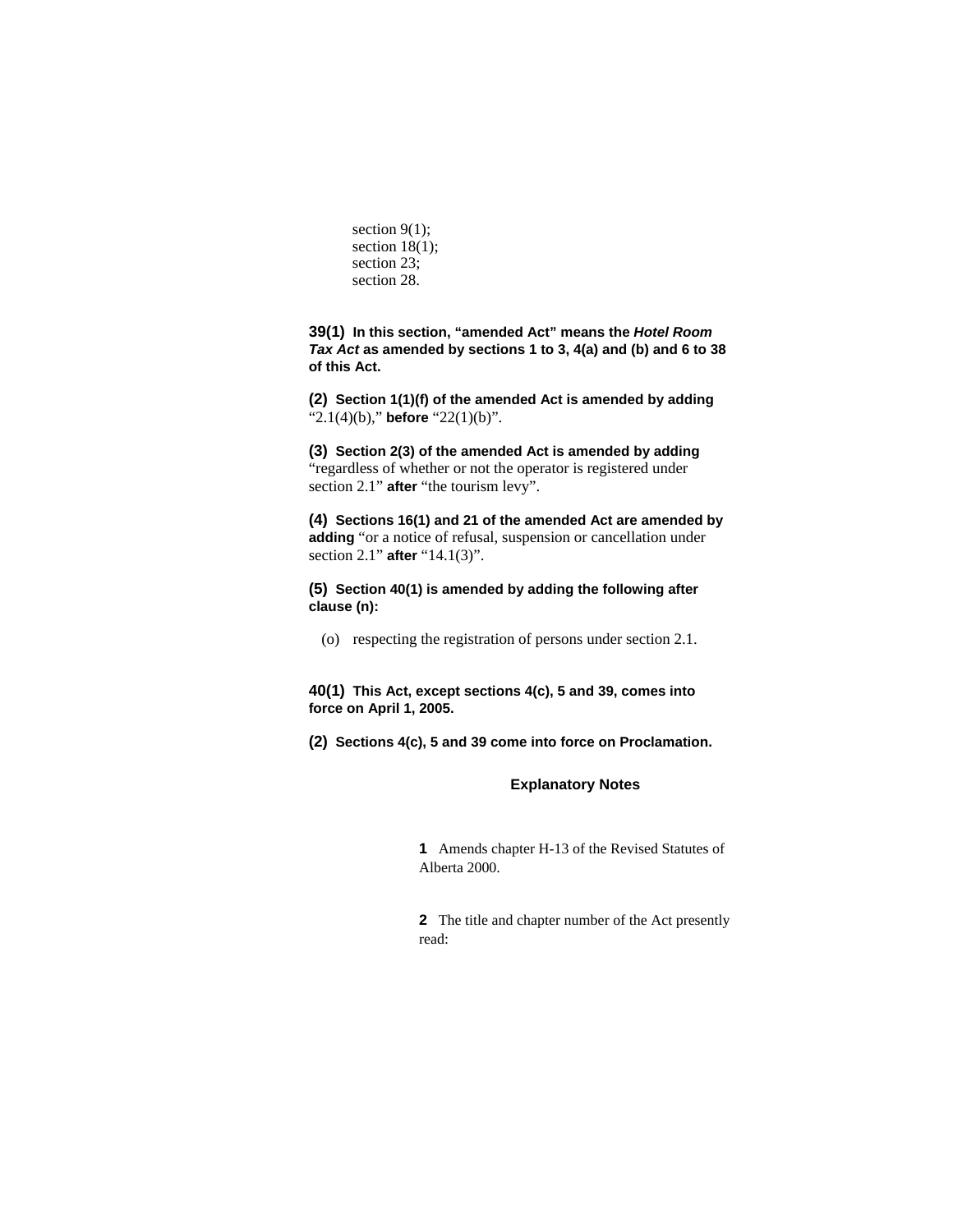section  $9(1)$ ; section 18(1); section 23; section 28.

**39(1) In this section, "amended Act" means the** *Hotel Room Tax Act* **as amended by sections 1 to 3, 4(a) and (b) and 6 to 38 of this Act.**

**(2) Section 1(1)(f) of the amended Act is amended by adding**  "2.1(4)(b)," **before** "22(1)(b)".

**(3) Section 2(3) of the amended Act is amended by adding**  "regardless of whether or not the operator is registered under section 2.1" **after** "the tourism levy".

**(4) Sections 16(1) and 21 of the amended Act are amended by adding** "or a notice of refusal, suspension or cancellation under section 2.1" **after** "14.1(3)".

**(5) Section 40(1) is amended by adding the following after clause (n):**

(o) respecting the registration of persons under section 2.1.

**40(1) This Act, except sections 4(c), 5 and 39, comes into force on April 1, 2005.**

**(2) Sections 4(c), 5 and 39 come into force on Proclamation.** 

### **Explanatory Notes**

**1** Amends chapter H-13 of the Revised Statutes of Alberta 2000.

**2** The title and chapter number of the Act presently read: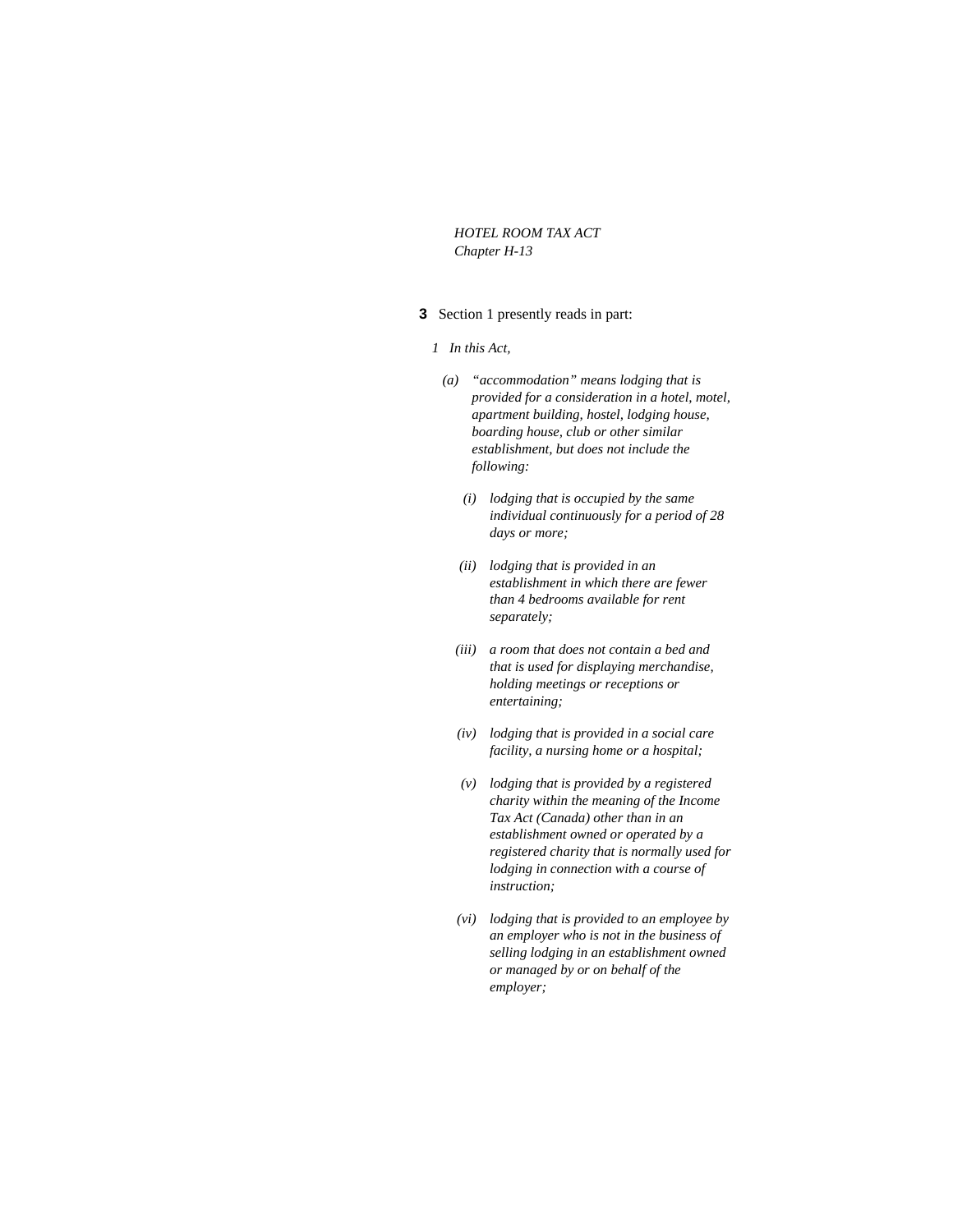*HOTEL ROOM TAX ACT Chapter H-13* 

# **3** Section 1 presently reads in part:

#### *1 In this Act,*

- *(a) "accommodation" means lodging that is provided for a consideration in a hotel, motel, apartment building, hostel, lodging house, boarding house, club or other similar establishment, but does not include the following:* 
	- *(i) lodging that is occupied by the same individual continuously for a period of 28 days or more;*
	- *(ii) lodging that is provided in an establishment in which there are fewer than 4 bedrooms available for rent separately;*
	- *(iii) a room that does not contain a bed and that is used for displaying merchandise, holding meetings or receptions or entertaining;*
	- *(iv) lodging that is provided in a social care facility, a nursing home or a hospital;*
	- *(v) lodging that is provided by a registered charity within the meaning of the Income Tax Act (Canada) other than in an establishment owned or operated by a registered charity that is normally used for lodging in connection with a course of instruction;*
	- *(vi) lodging that is provided to an employee by an employer who is not in the business of selling lodging in an establishment owned or managed by or on behalf of the employer;*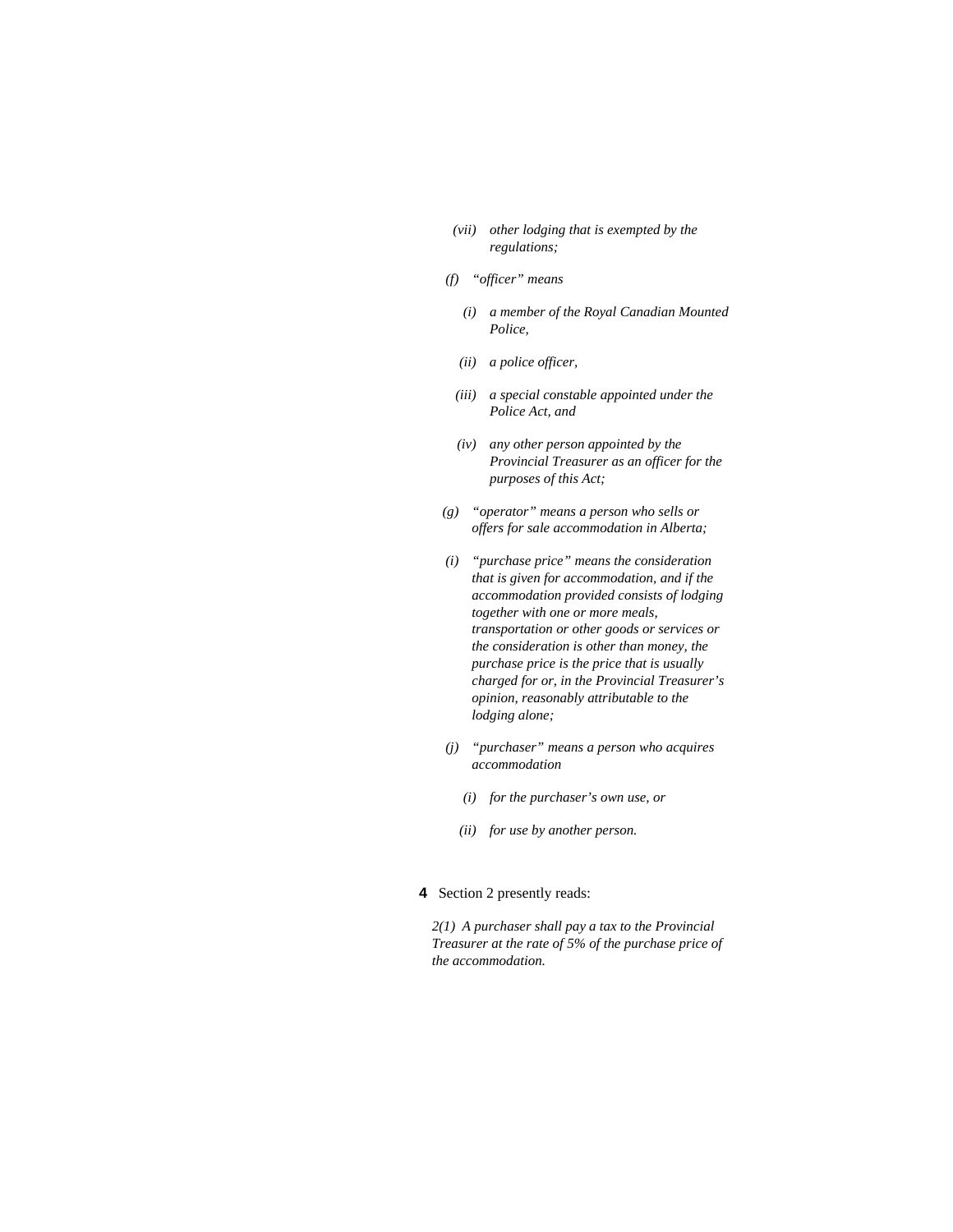- *(vii) other lodging that is exempted by the regulations;*
- *(f) "officer" means* 
	- *(i) a member of the Royal Canadian Mounted Police,*
	- *(ii) a police officer,*
	- *(iii) a special constable appointed under the Police Act, and*
	- *(iv) any other person appointed by the Provincial Treasurer as an officer for the purposes of this Act;*
- *(g) "operator" means a person who sells or offers for sale accommodation in Alberta;*
- *(i) "purchase price" means the consideration that is given for accommodation, and if the accommodation provided consists of lodging together with one or more meals, transportation or other goods or services or the consideration is other than money, the purchase price is the price that is usually charged for or, in the Provincial Treasurer's opinion, reasonably attributable to the lodging alone;*
- *(j) "purchaser" means a person who acquires accommodation* 
	- *(i) for the purchaser's own use, or*
	- *(ii) for use by another person.*

# **4** Section 2 presently reads:

*2(1) A purchaser shall pay a tax to the Provincial Treasurer at the rate of 5% of the purchase price of the accommodation.*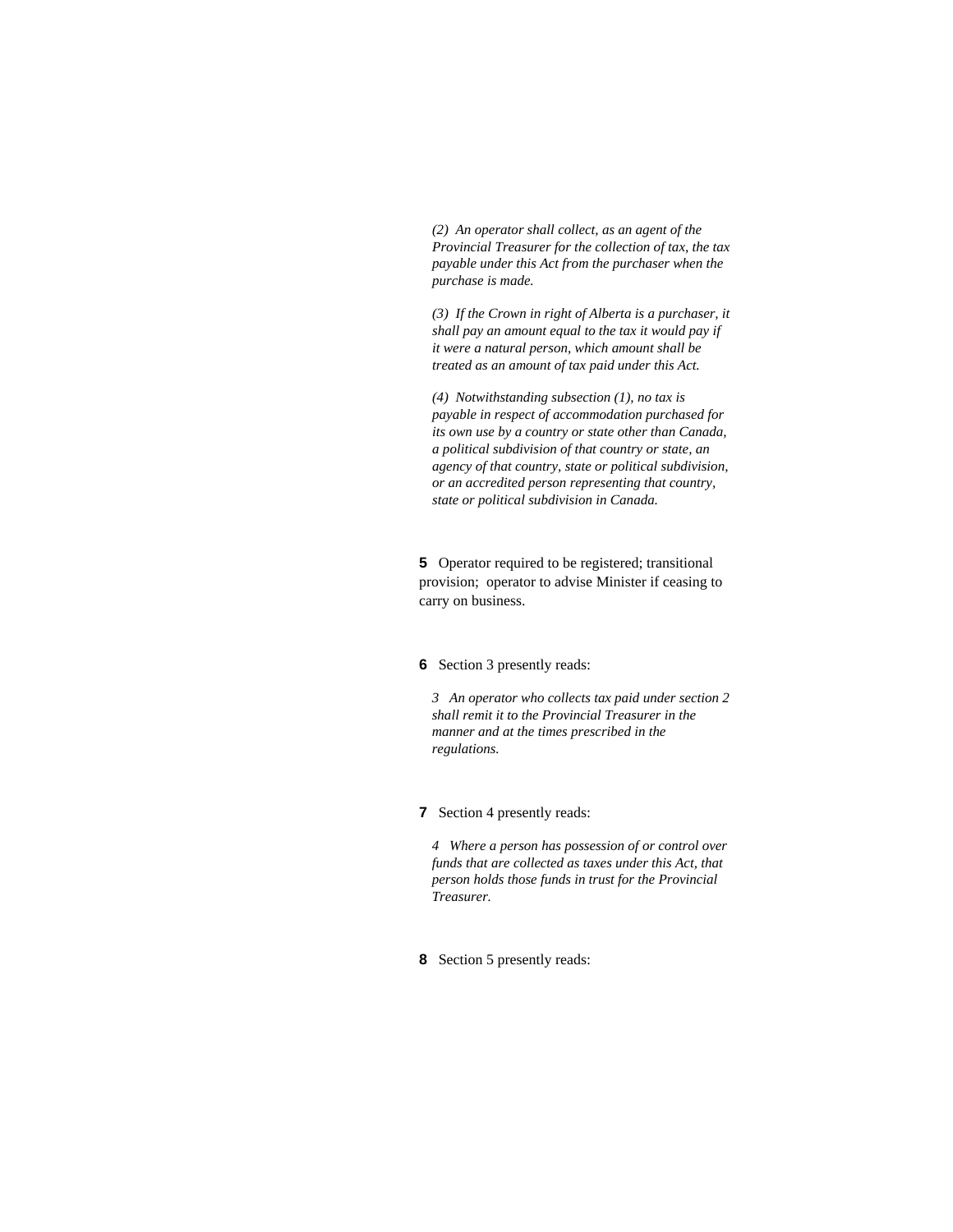*(2) An operator shall collect, as an agent of the Provincial Treasurer for the collection of tax, the tax payable under this Act from the purchaser when the purchase is made.* 

*(3) If the Crown in right of Alberta is a purchaser, it shall pay an amount equal to the tax it would pay if it were a natural person, which amount shall be treated as an amount of tax paid under this Act.* 

*(4) Notwithstanding subsection (1), no tax is payable in respect of accommodation purchased for its own use by a country or state other than Canada, a political subdivision of that country or state, an agency of that country, state or political subdivision, or an accredited person representing that country, state or political subdivision in Canada.* 

**5** Operator required to be registered; transitional provision; operator to advise Minister if ceasing to carry on business.

#### **6** Section 3 presently reads:

*3 An operator who collects tax paid under section 2 shall remit it to the Provincial Treasurer in the manner and at the times prescribed in the regulations.* 

# **7** Section 4 presently reads:

*4 Where a person has possession of or control over funds that are collected as taxes under this Act, that person holds those funds in trust for the Provincial Treasurer.* 

# **8** Section 5 presently reads: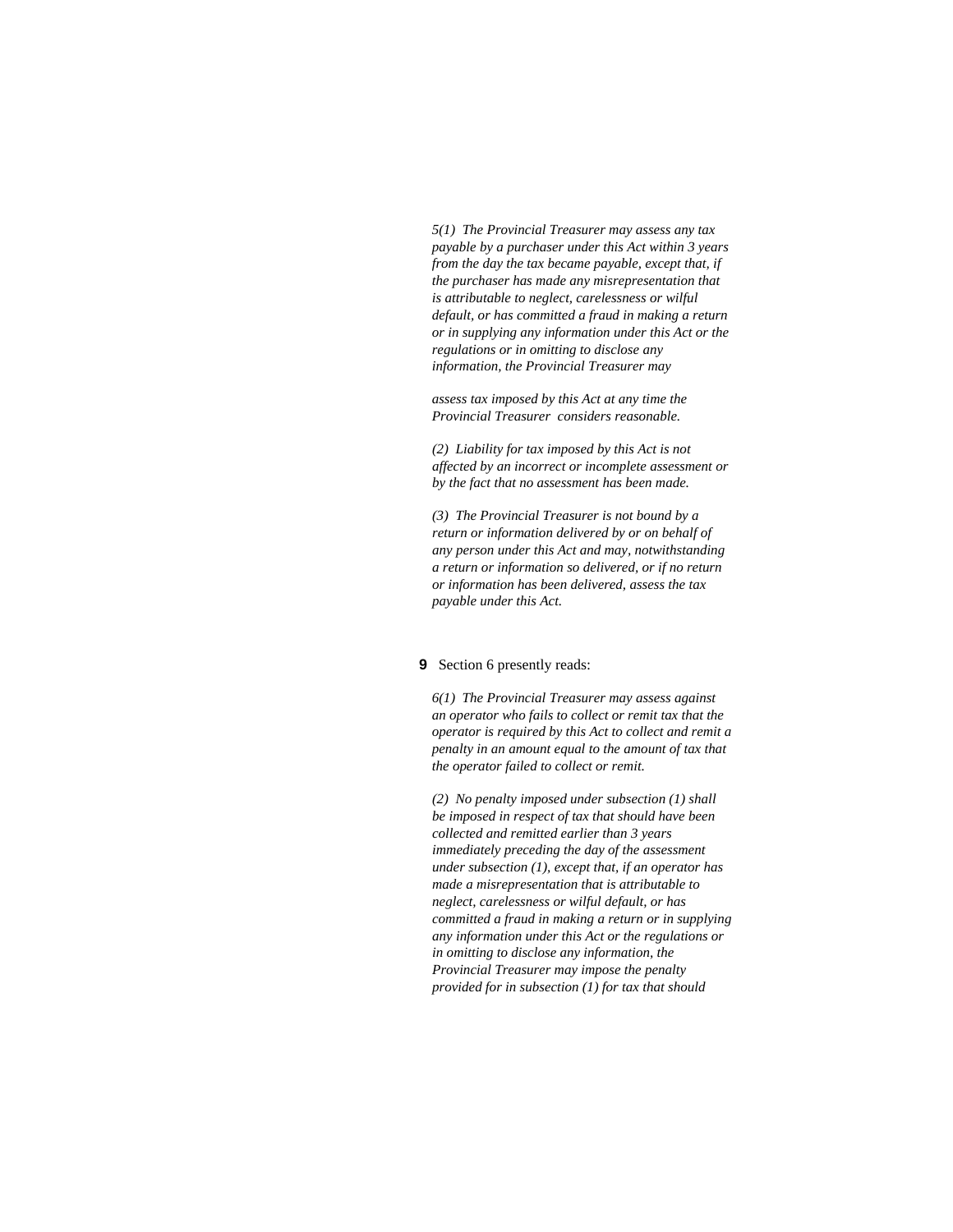*5(1) The Provincial Treasurer may assess any tax payable by a purchaser under this Act within 3 years from the day the tax became payable, except that, if the purchaser has made any misrepresentation that is attributable to neglect, carelessness or wilful default, or has committed a fraud in making a return or in supplying any information under this Act or the regulations or in omitting to disclose any information, the Provincial Treasurer may* 

*assess tax imposed by this Act at any time the Provincial Treasurer considers reasonable.* 

*(2) Liability for tax imposed by this Act is not affected by an incorrect or incomplete assessment or by the fact that no assessment has been made.* 

*(3) The Provincial Treasurer is not bound by a return or information delivered by or on behalf of any person under this Act and may, notwithstanding a return or information so delivered, or if no return or information has been delivered, assess the tax payable under this Act.* 

#### **9** Section 6 presently reads:

*6(1) The Provincial Treasurer may assess against an operator who fails to collect or remit tax that the operator is required by this Act to collect and remit a penalty in an amount equal to the amount of tax that the operator failed to collect or remit.* 

*(2) No penalty imposed under subsection (1) shall be imposed in respect of tax that should have been collected and remitted earlier than 3 years immediately preceding the day of the assessment under subsection (1), except that, if an operator has made a misrepresentation that is attributable to neglect, carelessness or wilful default, or has committed a fraud in making a return or in supplying any information under this Act or the regulations or in omitting to disclose any information, the Provincial Treasurer may impose the penalty provided for in subsection (1) for tax that should*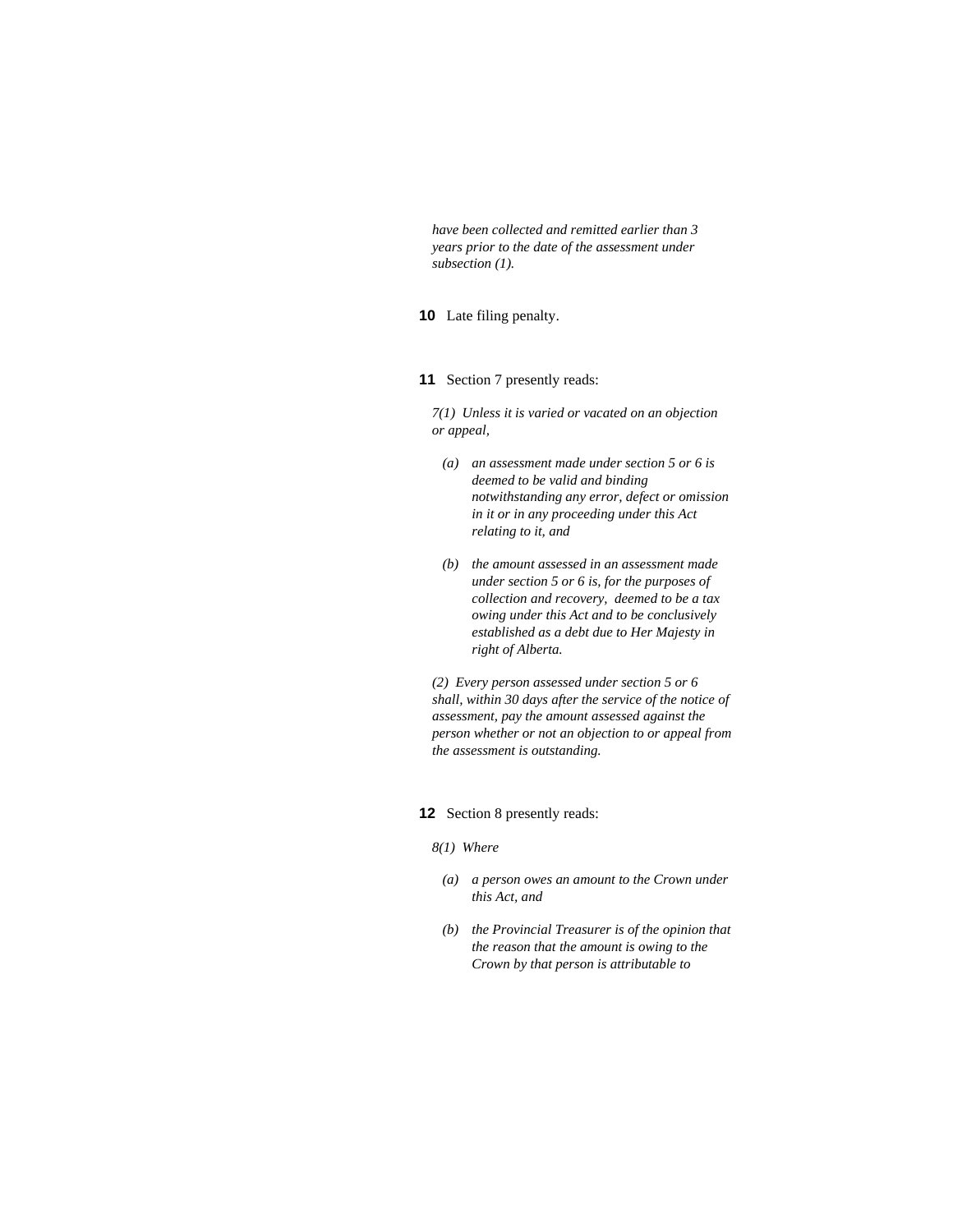*have been collected and remitted earlier than 3 years prior to the date of the assessment under subsection (1).* 

# **10** Late filing penalty.

### **11** Section 7 presently reads:

*7(1) Unless it is varied or vacated on an objection or appeal,* 

- *(a) an assessment made under section 5 or 6 is deemed to be valid and binding notwithstanding any error, defect or omission in it or in any proceeding under this Act relating to it, and*
- *(b) the amount assessed in an assessment made under section 5 or 6 is, for the purposes of collection and recovery, deemed to be a tax owing under this Act and to be conclusively established as a debt due to Her Majesty in right of Alberta.*

*(2) Every person assessed under section 5 or 6 shall, within 30 days after the service of the notice of assessment, pay the amount assessed against the person whether or not an objection to or appeal from the assessment is outstanding.* 

### **12** Section 8 presently reads:

- *8(1) Where*
- *(a) a person owes an amount to the Crown under this Act, and*
- *(b) the Provincial Treasurer is of the opinion that the reason that the amount is owing to the Crown by that person is attributable to*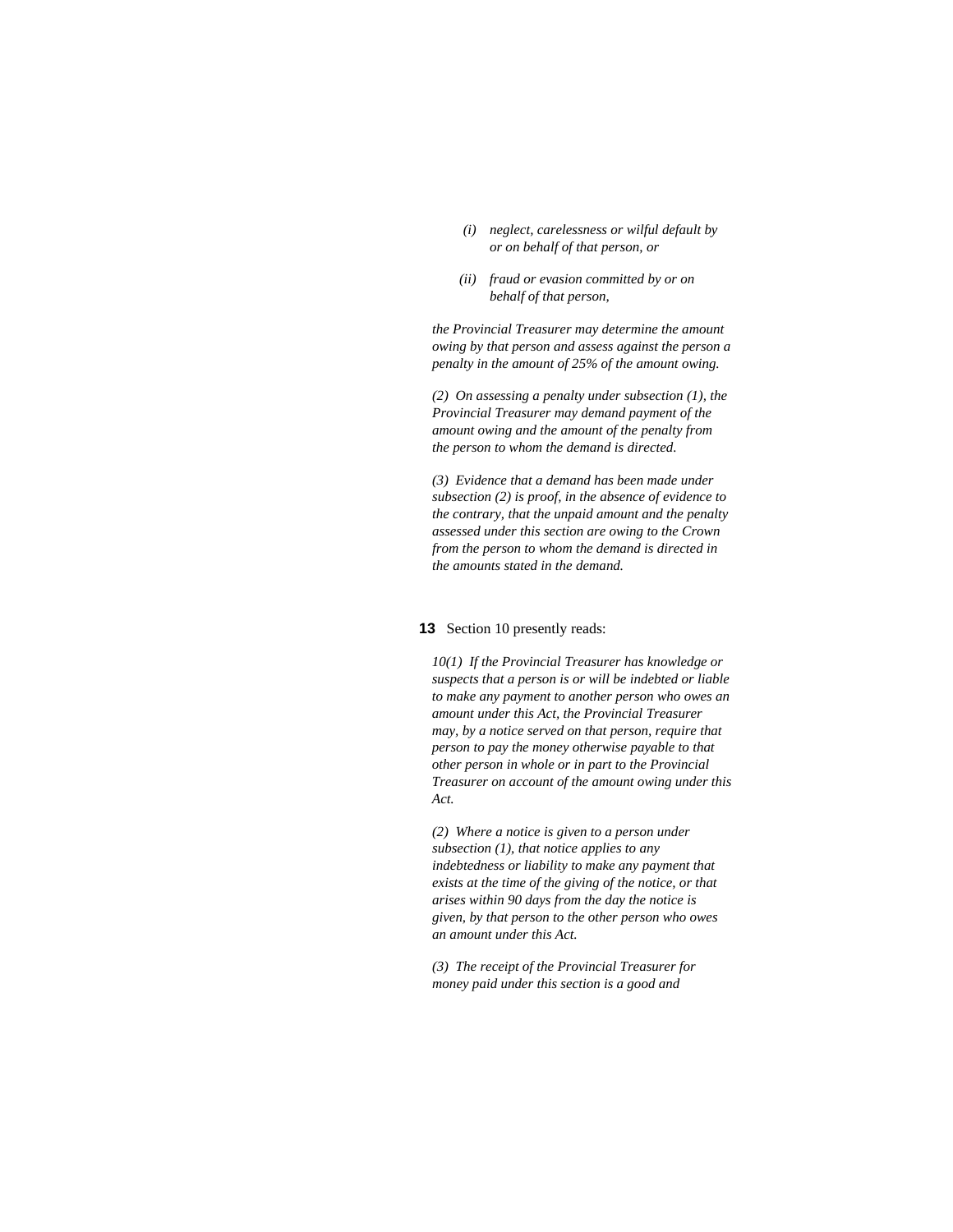- *(i) neglect, carelessness or wilful default by or on behalf of that person, or*
- *(ii) fraud or evasion committed by or on behalf of that person,*

*the Provincial Treasurer may determine the amount owing by that person and assess against the person a penalty in the amount of 25% of the amount owing.* 

*(2) On assessing a penalty under subsection (1), the Provincial Treasurer may demand payment of the amount owing and the amount of the penalty from the person to whom the demand is directed.* 

*(3) Evidence that a demand has been made under subsection (2) is proof, in the absence of evidence to the contrary, that the unpaid amount and the penalty assessed under this section are owing to the Crown from the person to whom the demand is directed in the amounts stated in the demand.* 

#### **13** Section 10 presently reads:

*10(1) If the Provincial Treasurer has knowledge or suspects that a person is or will be indebted or liable to make any payment to another person who owes an amount under this Act, the Provincial Treasurer may, by a notice served on that person, require that person to pay the money otherwise payable to that other person in whole or in part to the Provincial Treasurer on account of the amount owing under this Act.* 

*(2) Where a notice is given to a person under subsection (1), that notice applies to any indebtedness or liability to make any payment that exists at the time of the giving of the notice, or that arises within 90 days from the day the notice is given, by that person to the other person who owes an amount under this Act.* 

*(3) The receipt of the Provincial Treasurer for money paid under this section is a good and*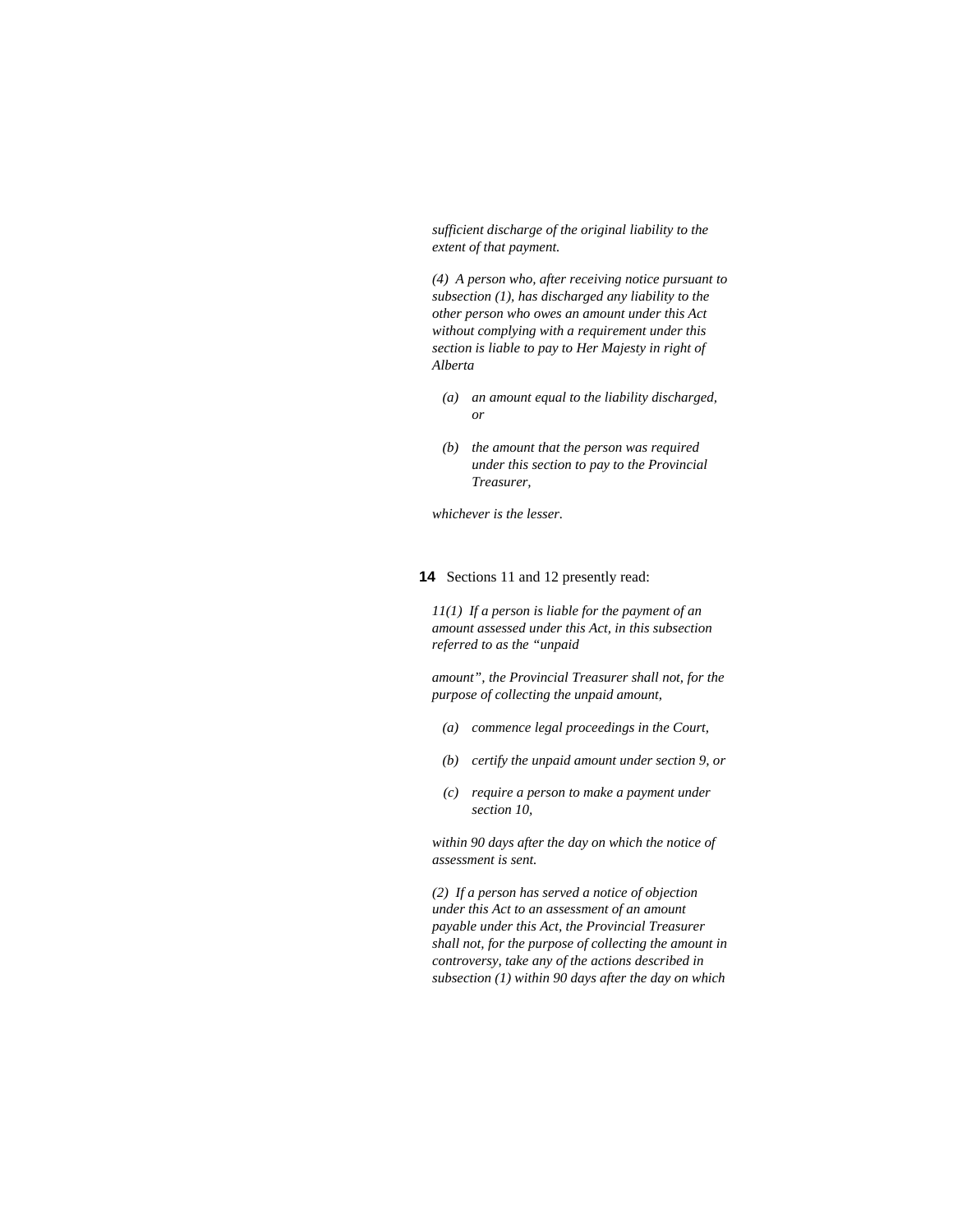*sufficient discharge of the original liability to the extent of that payment.* 

*(4) A person who, after receiving notice pursuant to subsection (1), has discharged any liability to the other person who owes an amount under this Act without complying with a requirement under this section is liable to pay to Her Majesty in right of Alberta* 

- *(a) an amount equal to the liability discharged, or*
- *(b) the amount that the person was required under this section to pay to the Provincial Treasurer,*

*whichever is the lesser.* 

# **14** Sections 11 and 12 presently read:

*11(1) If a person is liable for the payment of an amount assessed under this Act, in this subsection referred to as the "unpaid* 

*amount", the Provincial Treasurer shall not, for the purpose of collecting the unpaid amount,* 

- *(a) commence legal proceedings in the Court,*
- *(b) certify the unpaid amount under section 9, or*
- *(c) require a person to make a payment under section 10,*

*within 90 days after the day on which the notice of assessment is sent.* 

*(2) If a person has served a notice of objection under this Act to an assessment of an amount payable under this Act, the Provincial Treasurer shall not, for the purpose of collecting the amount in controversy, take any of the actions described in subsection (1) within 90 days after the day on which*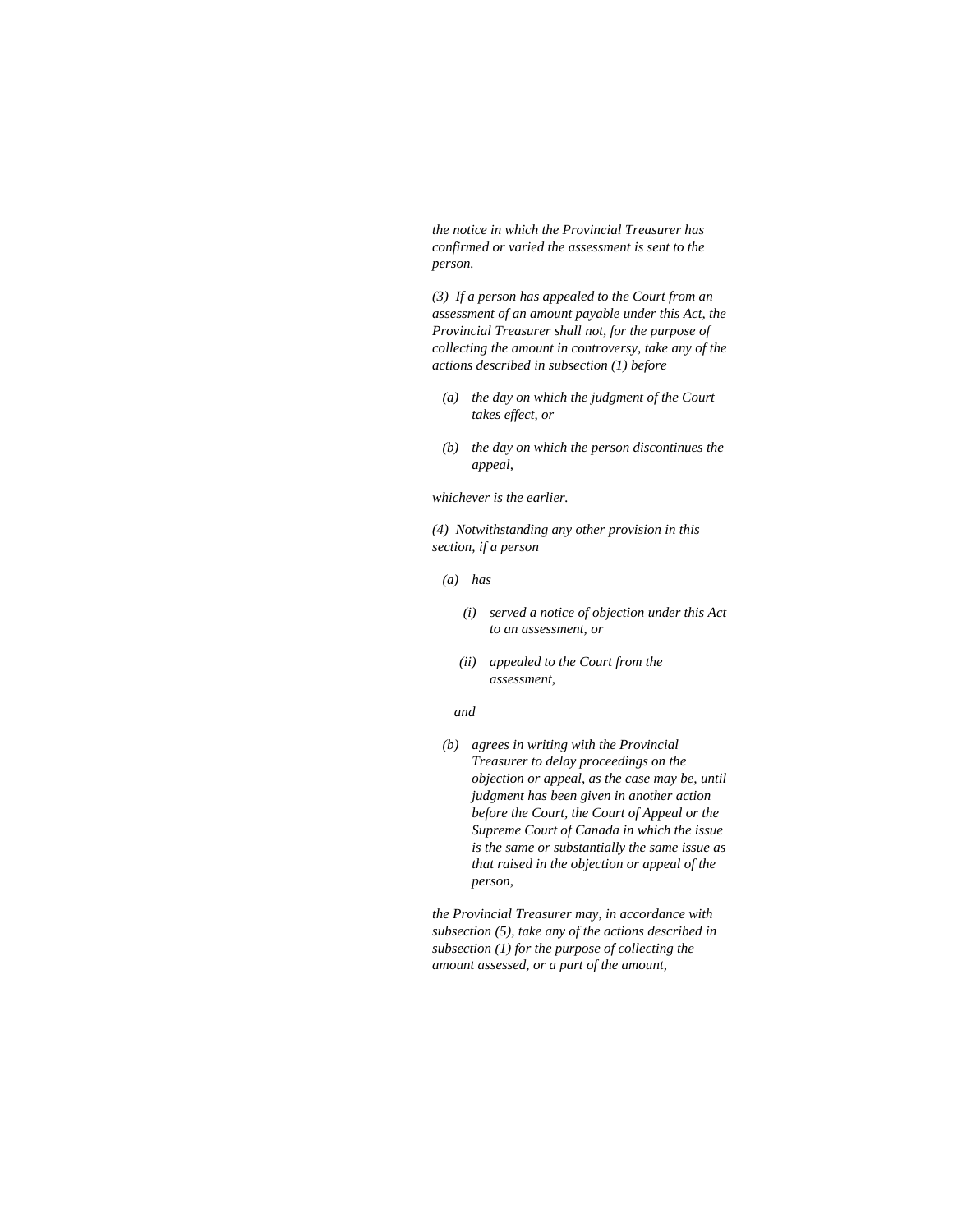*the notice in which the Provincial Treasurer has confirmed or varied the assessment is sent to the person.* 

*(3) If a person has appealed to the Court from an assessment of an amount payable under this Act, the Provincial Treasurer shall not, for the purpose of collecting the amount in controversy, take any of the actions described in subsection (1) before* 

- *(a) the day on which the judgment of the Court takes effect, or*
- *(b) the day on which the person discontinues the appeal,*

*whichever is the earlier.* 

*(4) Notwithstanding any other provision in this section, if a person* 

- *(a) has* 
	- *(i) served a notice of objection under this Act to an assessment, or*
	- *(ii) appealed to the Court from the assessment,*

### *and*

 *(b) agrees in writing with the Provincial Treasurer to delay proceedings on the objection or appeal, as the case may be, until judgment has been given in another action before the Court, the Court of Appeal or the Supreme Court of Canada in which the issue is the same or substantially the same issue as that raised in the objection or appeal of the person,* 

*the Provincial Treasurer may, in accordance with subsection (5), take any of the actions described in subsection (1) for the purpose of collecting the amount assessed, or a part of the amount,*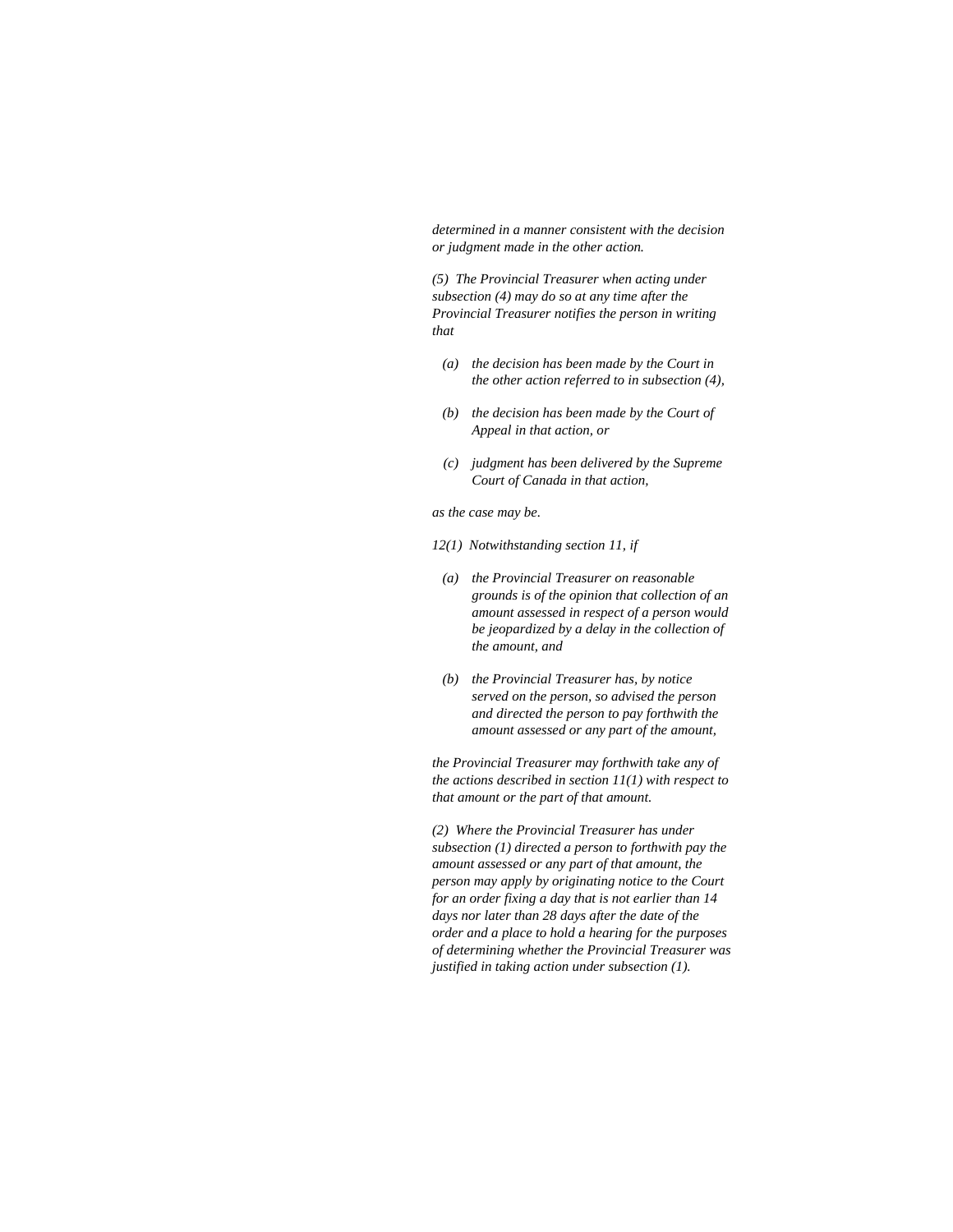*determined in a manner consistent with the decision or judgment made in the other action.* 

*(5) The Provincial Treasurer when acting under subsection (4) may do so at any time after the Provincial Treasurer notifies the person in writing that* 

- *(a) the decision has been made by the Court in the other action referred to in subsection (4),*
- *(b) the decision has been made by the Court of Appeal in that action, or*
- *(c) judgment has been delivered by the Supreme Court of Canada in that action,*

*as the case may be.* 

- *12(1) Notwithstanding section 11, if*
- *(a) the Provincial Treasurer on reasonable grounds is of the opinion that collection of an amount assessed in respect of a person would be jeopardized by a delay in the collection of the amount, and*
- *(b) the Provincial Treasurer has, by notice served on the person, so advised the person and directed the person to pay forthwith the amount assessed or any part of the amount,*

*the Provincial Treasurer may forthwith take any of the actions described in section 11(1) with respect to that amount or the part of that amount.* 

*(2) Where the Provincial Treasurer has under subsection (1) directed a person to forthwith pay the amount assessed or any part of that amount, the person may apply by originating notice to the Court for an order fixing a day that is not earlier than 14 days nor later than 28 days after the date of the order and a place to hold a hearing for the purposes of determining whether the Provincial Treasurer was justified in taking action under subsection (1).*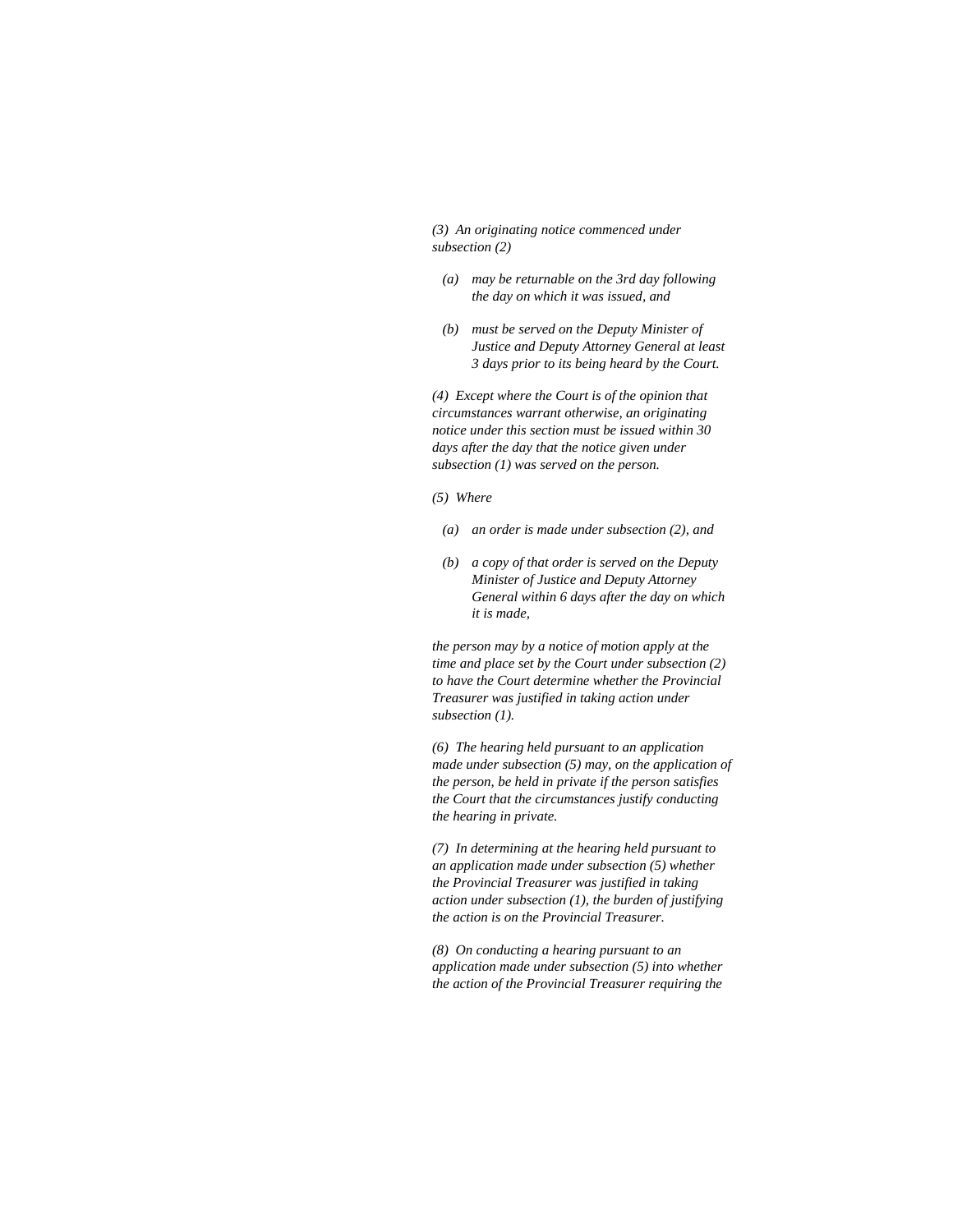*(3) An originating notice commenced under subsection (2)* 

- *(a) may be returnable on the 3rd day following the day on which it was issued, and*
- *(b) must be served on the Deputy Minister of Justice and Deputy Attorney General at least 3 days prior to its being heard by the Court.*

*(4) Except where the Court is of the opinion that circumstances warrant otherwise, an originating notice under this section must be issued within 30 days after the day that the notice given under subsection (1) was served on the person.* 

*(5) Where* 

- *(a) an order is made under subsection (2), and*
- *(b) a copy of that order is served on the Deputy Minister of Justice and Deputy Attorney General within 6 days after the day on which it is made,*

*the person may by a notice of motion apply at the time and place set by the Court under subsection (2) to have the Court determine whether the Provincial Treasurer was justified in taking action under subsection (1).* 

*(6) The hearing held pursuant to an application made under subsection (5) may, on the application of the person, be held in private if the person satisfies the Court that the circumstances justify conducting the hearing in private.* 

*(7) In determining at the hearing held pursuant to an application made under subsection (5) whether the Provincial Treasurer was justified in taking action under subsection (1), the burden of justifying the action is on the Provincial Treasurer.* 

*(8) On conducting a hearing pursuant to an application made under subsection (5) into whether the action of the Provincial Treasurer requiring the*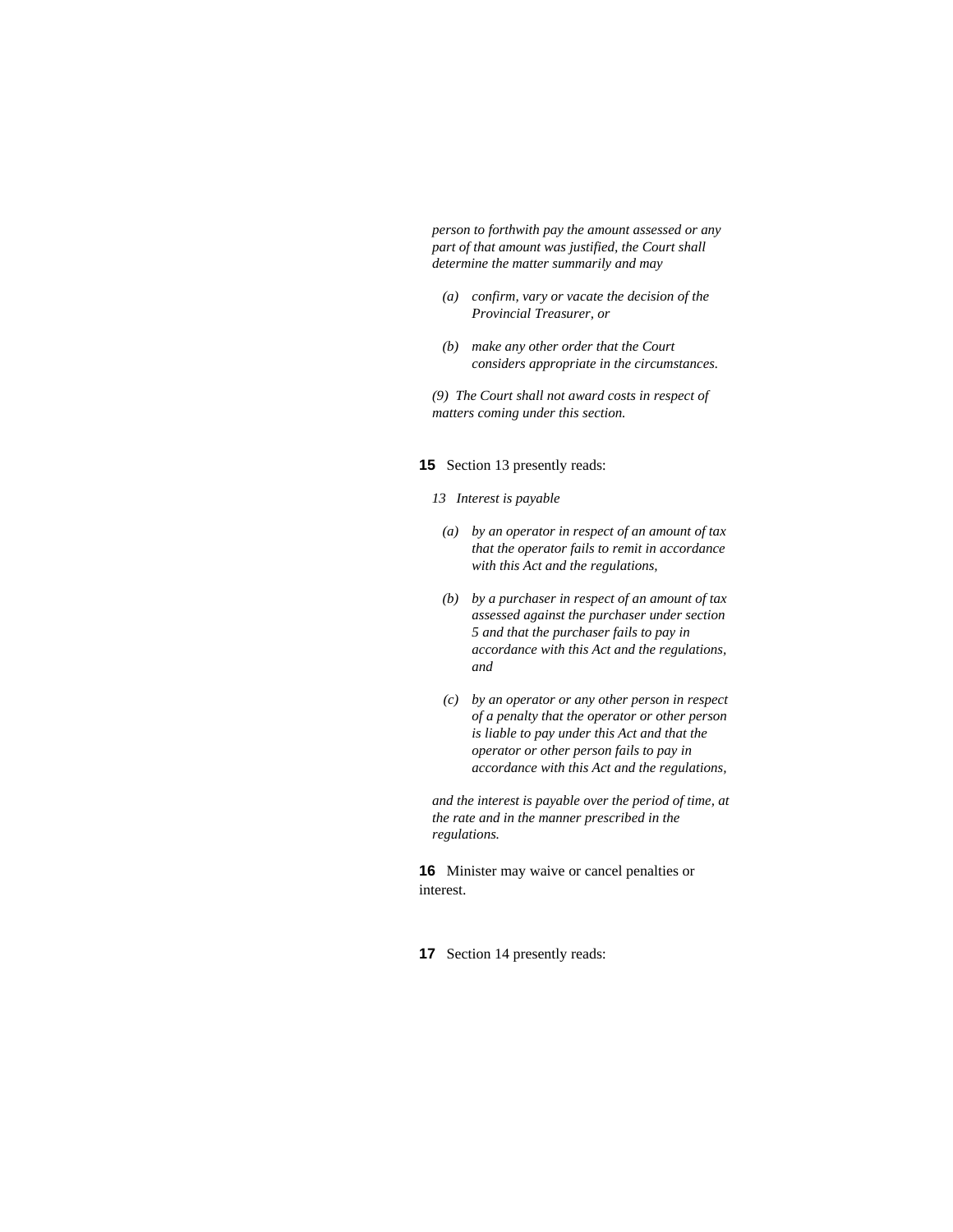*person to forthwith pay the amount assessed or any part of that amount was justified, the Court shall determine the matter summarily and may* 

- *(a) confirm, vary or vacate the decision of the Provincial Treasurer, or*
- *(b) make any other order that the Court considers appropriate in the circumstances.*

*(9) The Court shall not award costs in respect of matters coming under this section.* 

### **15** Section 13 presently reads:

#### *13 Interest is payable*

- *(a) by an operator in respect of an amount of tax that the operator fails to remit in accordance with this Act and the regulations,*
- *(b) by a purchaser in respect of an amount of tax assessed against the purchaser under section 5 and that the purchaser fails to pay in accordance with this Act and the regulations, and*
- *(c) by an operator or any other person in respect of a penalty that the operator or other person is liable to pay under this Act and that the operator or other person fails to pay in accordance with this Act and the regulations,*

*and the interest is payable over the period of time, at the rate and in the manner prescribed in the regulations.* 

**16** Minister may waive or cancel penalties or interest.

**17** Section 14 presently reads: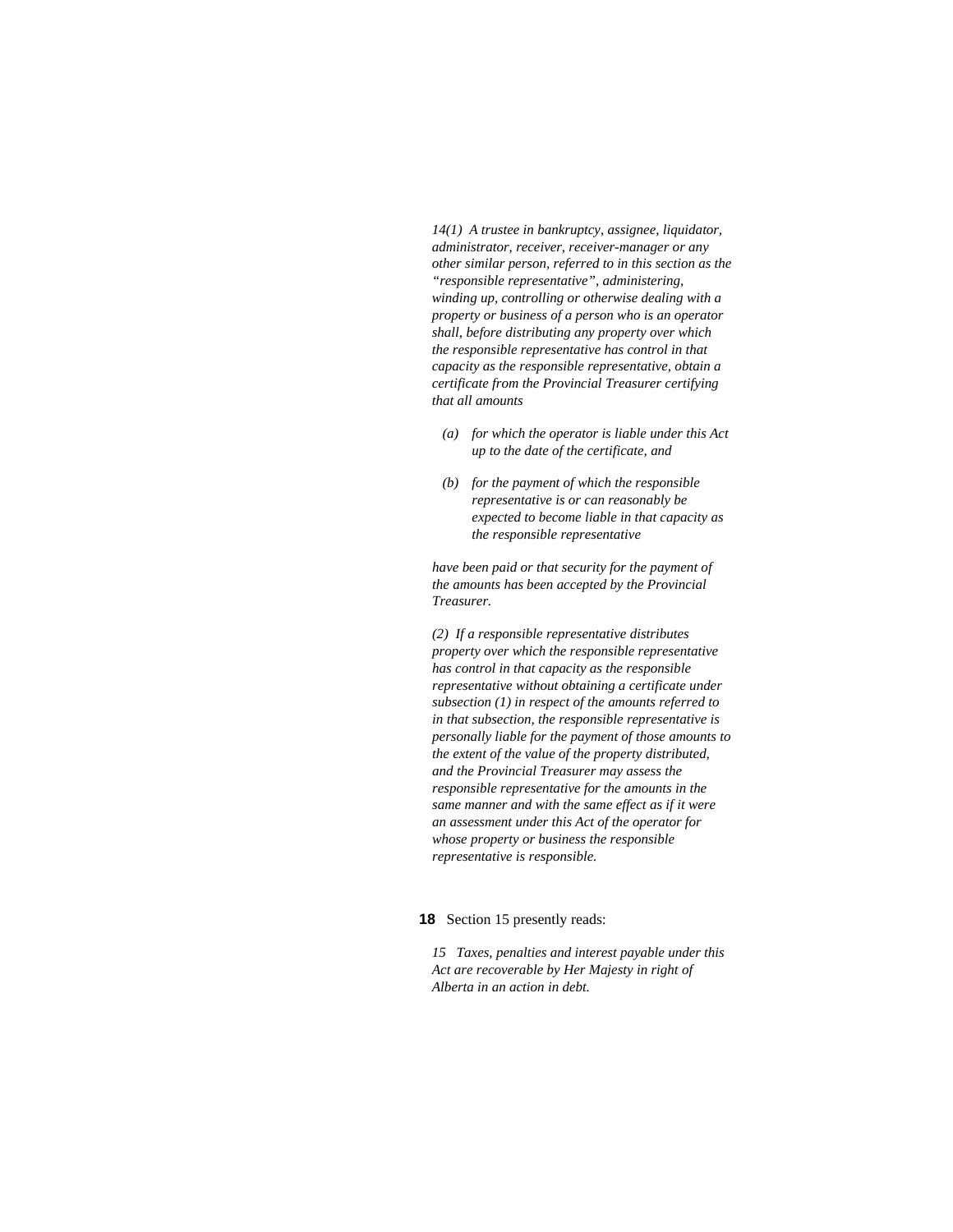*14(1) A trustee in bankruptcy, assignee, liquidator, administrator, receiver, receiver-manager or any other similar person, referred to in this section as the "responsible representative", administering, winding up, controlling or otherwise dealing with a property or business of a person who is an operator shall, before distributing any property over which the responsible representative has control in that capacity as the responsible representative, obtain a certificate from the Provincial Treasurer certifying that all amounts* 

- *(a) for which the operator is liable under this Act up to the date of the certificate, and*
- *(b) for the payment of which the responsible representative is or can reasonably be expected to become liable in that capacity as the responsible representative*

*have been paid or that security for the payment of the amounts has been accepted by the Provincial Treasurer.* 

*(2) If a responsible representative distributes property over which the responsible representative has control in that capacity as the responsible representative without obtaining a certificate under subsection (1) in respect of the amounts referred to in that subsection, the responsible representative is personally liable for the payment of those amounts to the extent of the value of the property distributed, and the Provincial Treasurer may assess the responsible representative for the amounts in the same manner and with the same effect as if it were an assessment under this Act of the operator for whose property or business the responsible representative is responsible.* 

**18** Section 15 presently reads:

*15 Taxes, penalties and interest payable under this Act are recoverable by Her Majesty in right of Alberta in an action in debt.*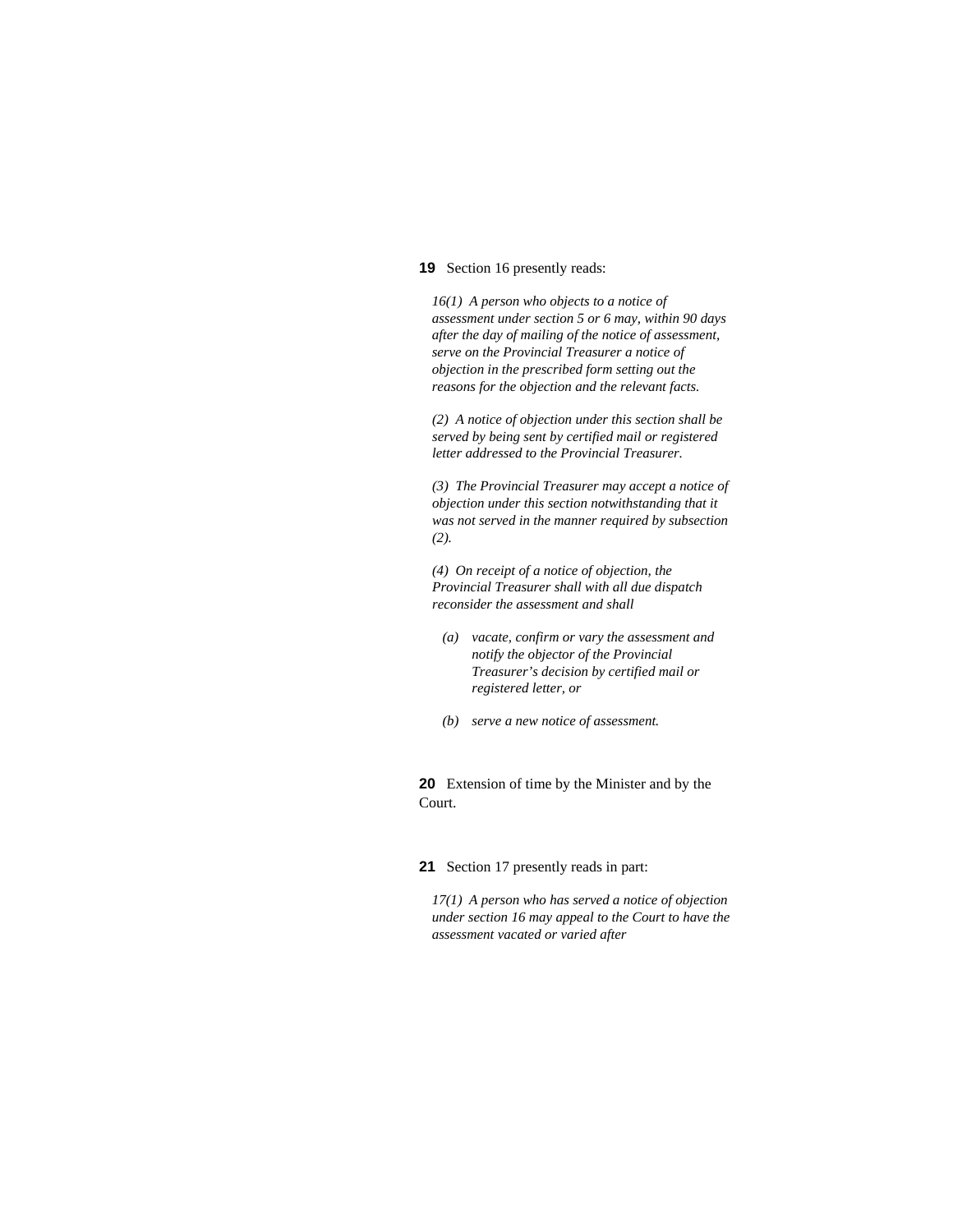# **19** Section 16 presently reads:

*16(1) A person who objects to a notice of assessment under section 5 or 6 may, within 90 days after the day of mailing of the notice of assessment, serve on the Provincial Treasurer a notice of objection in the prescribed form setting out the reasons for the objection and the relevant facts.* 

*(2) A notice of objection under this section shall be served by being sent by certified mail or registered letter addressed to the Provincial Treasurer.* 

*(3) The Provincial Treasurer may accept a notice of objection under this section notwithstanding that it was not served in the manner required by subsection (2).* 

*(4) On receipt of a notice of objection, the Provincial Treasurer shall with all due dispatch reconsider the assessment and shall* 

- *(a) vacate, confirm or vary the assessment and notify the objector of the Provincial Treasurer's decision by certified mail or registered letter, or*
- *(b) serve a new notice of assessment.*

**20** Extension of time by the Minister and by the Court.

### **21** Section 17 presently reads in part:

*17(1) A person who has served a notice of objection under section 16 may appeal to the Court to have the assessment vacated or varied after*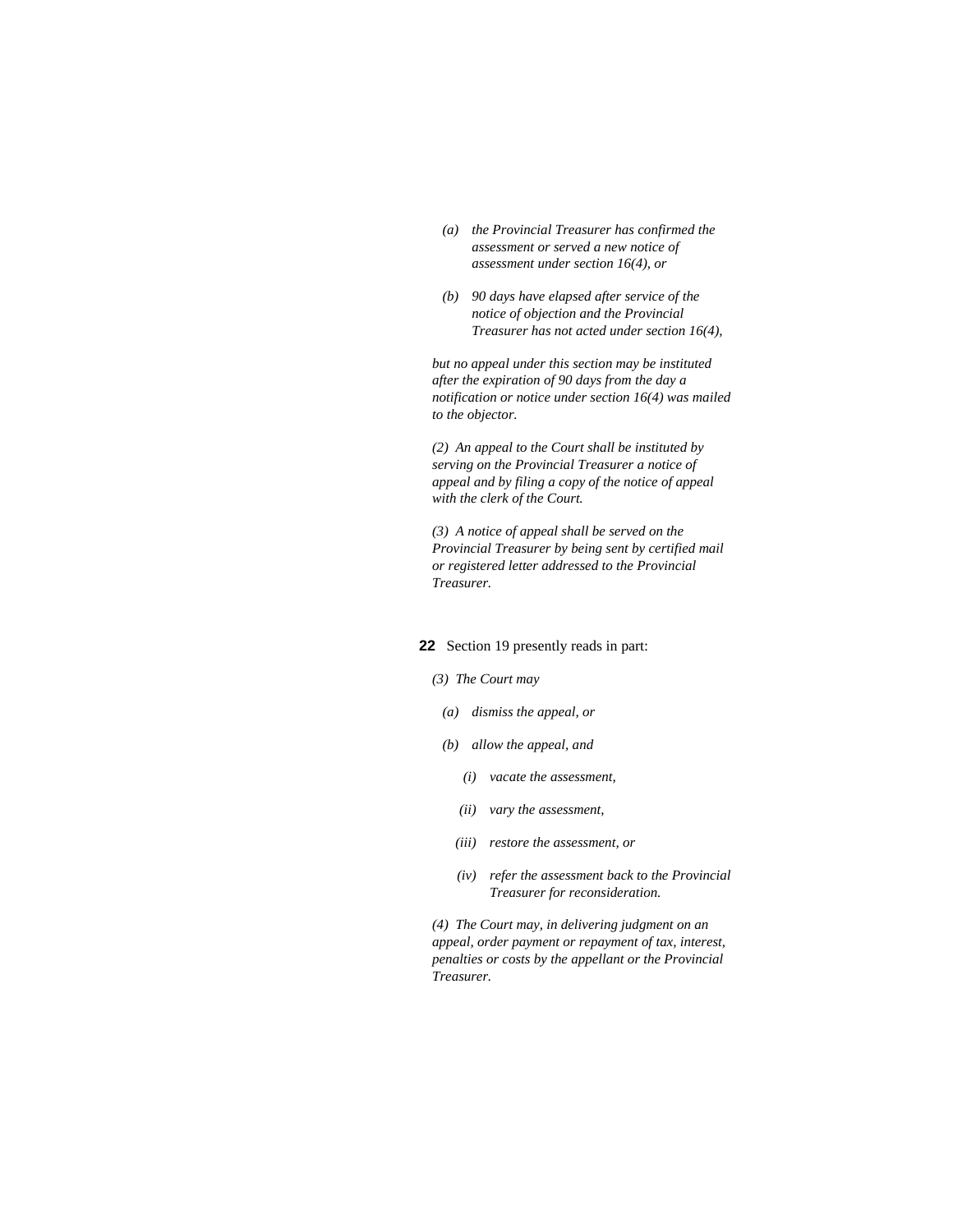- *(a) the Provincial Treasurer has confirmed the assessment or served a new notice of assessment under section 16(4), or*
- *(b) 90 days have elapsed after service of the notice of objection and the Provincial Treasurer has not acted under section 16(4),*

*but no appeal under this section may be instituted after the expiration of 90 days from the day a notification or notice under section 16(4) was mailed to the objector.* 

*(2) An appeal to the Court shall be instituted by serving on the Provincial Treasurer a notice of appeal and by filing a copy of the notice of appeal with the clerk of the Court.* 

*(3) A notice of appeal shall be served on the Provincial Treasurer by being sent by certified mail or registered letter addressed to the Provincial Treasurer.* 

# **22** Section 19 presently reads in part:

### *(3) The Court may*

- *(a) dismiss the appeal, or*
- *(b) allow the appeal, and* 
	- *(i) vacate the assessment,*
	- *(ii) vary the assessment,*
	- *(iii) restore the assessment, or*
	- *(iv) refer the assessment back to the Provincial Treasurer for reconsideration.*

*(4) The Court may, in delivering judgment on an appeal, order payment or repayment of tax, interest, penalties or costs by the appellant or the Provincial Treasurer.*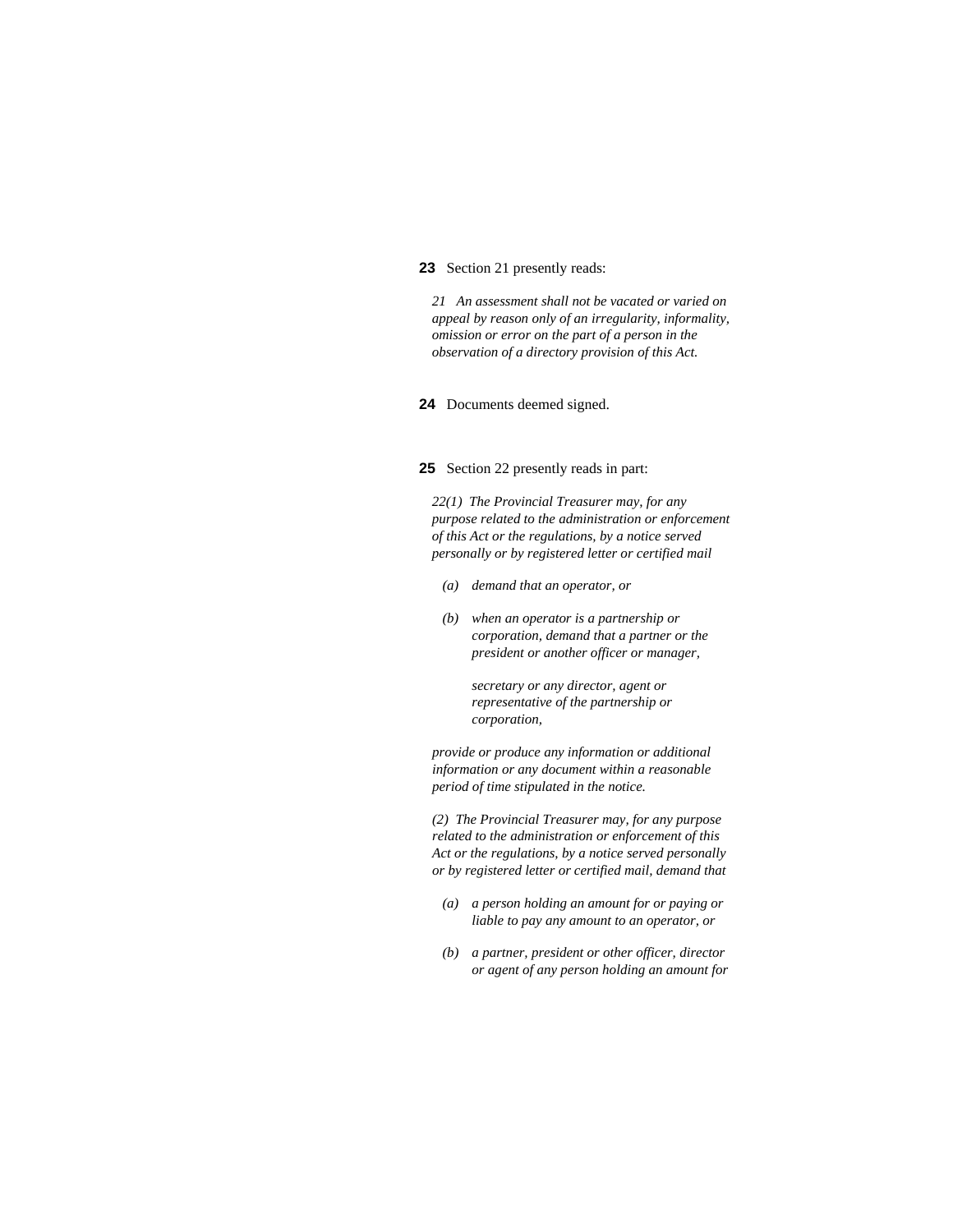# **23** Section 21 presently reads:

*21 An assessment shall not be vacated or varied on appeal by reason only of an irregularity, informality, omission or error on the part of a person in the observation of a directory provision of this Act.* 

**24** Documents deemed signed.

#### **25** Section 22 presently reads in part:

*22(1) The Provincial Treasurer may, for any purpose related to the administration or enforcement of this Act or the regulations, by a notice served personally or by registered letter or certified mail* 

- *(a) demand that an operator, or*
- *(b) when an operator is a partnership or corporation, demand that a partner or the president or another officer or manager,*

 *secretary or any director, agent or representative of the partnership or corporation,* 

*provide or produce any information or additional information or any document within a reasonable period of time stipulated in the notice.* 

*(2) The Provincial Treasurer may, for any purpose related to the administration or enforcement of this Act or the regulations, by a notice served personally or by registered letter or certified mail, demand that* 

- *(a) a person holding an amount for or paying or liable to pay any amount to an operator, or*
- *(b) a partner, president or other officer, director or agent of any person holding an amount for*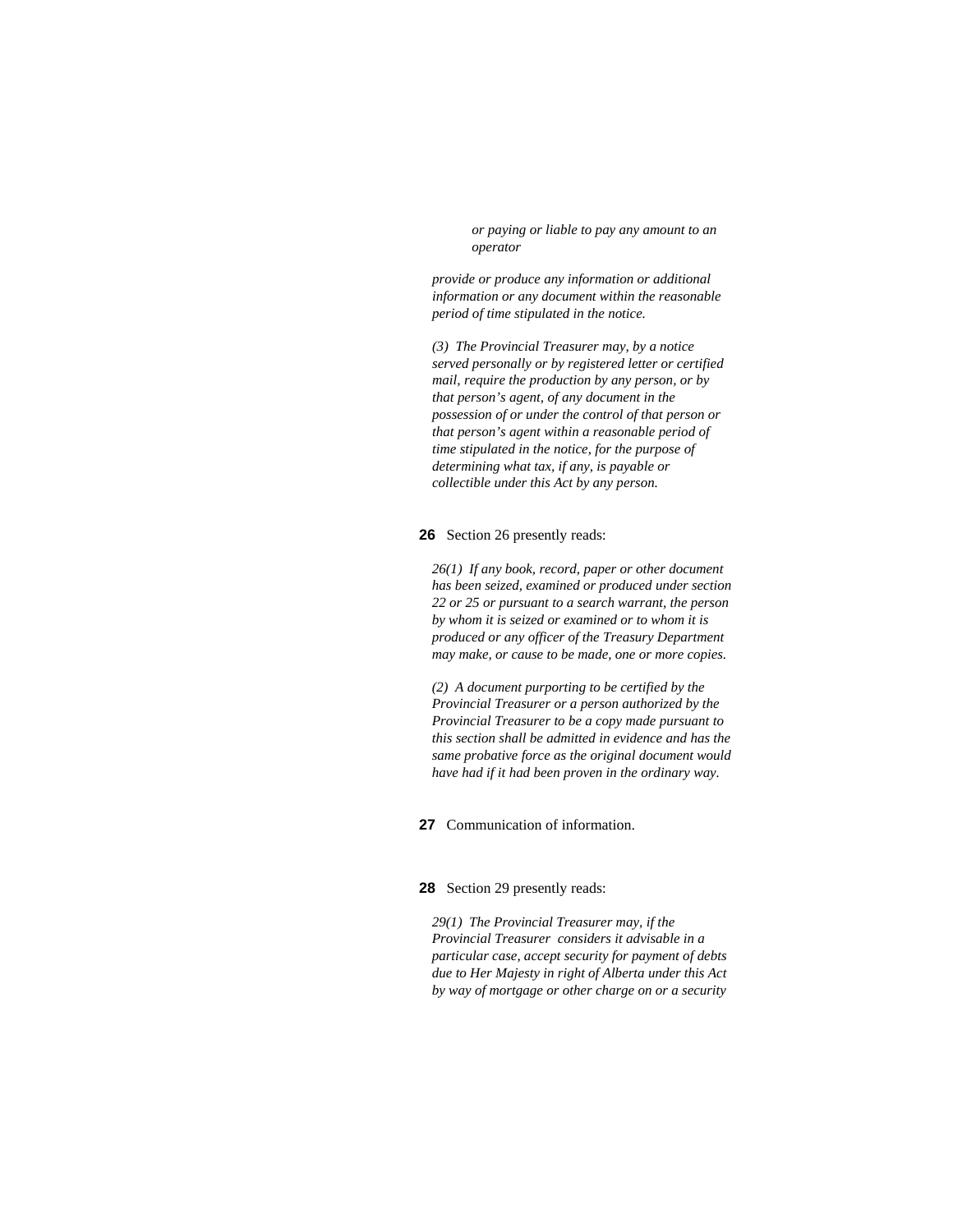*or paying or liable to pay any amount to an operator* 

*provide or produce any information or additional information or any document within the reasonable period of time stipulated in the notice.* 

*(3) The Provincial Treasurer may, by a notice served personally or by registered letter or certified mail, require the production by any person, or by that person's agent, of any document in the possession of or under the control of that person or that person's agent within a reasonable period of time stipulated in the notice, for the purpose of determining what tax, if any, is payable or collectible under this Act by any person.* 

#### **26** Section 26 presently reads:

*26(1) If any book, record, paper or other document has been seized, examined or produced under section 22 or 25 or pursuant to a search warrant, the person by whom it is seized or examined or to whom it is produced or any officer of the Treasury Department may make, or cause to be made, one or more copies.* 

*(2) A document purporting to be certified by the Provincial Treasurer or a person authorized by the Provincial Treasurer to be a copy made pursuant to this section shall be admitted in evidence and has the same probative force as the original document would have had if it had been proven in the ordinary way.* 

**27** Communication of information.

# **28** Section 29 presently reads:

*29(1) The Provincial Treasurer may, if the Provincial Treasurer considers it advisable in a particular case, accept security for payment of debts due to Her Majesty in right of Alberta under this Act by way of mortgage or other charge on or a security*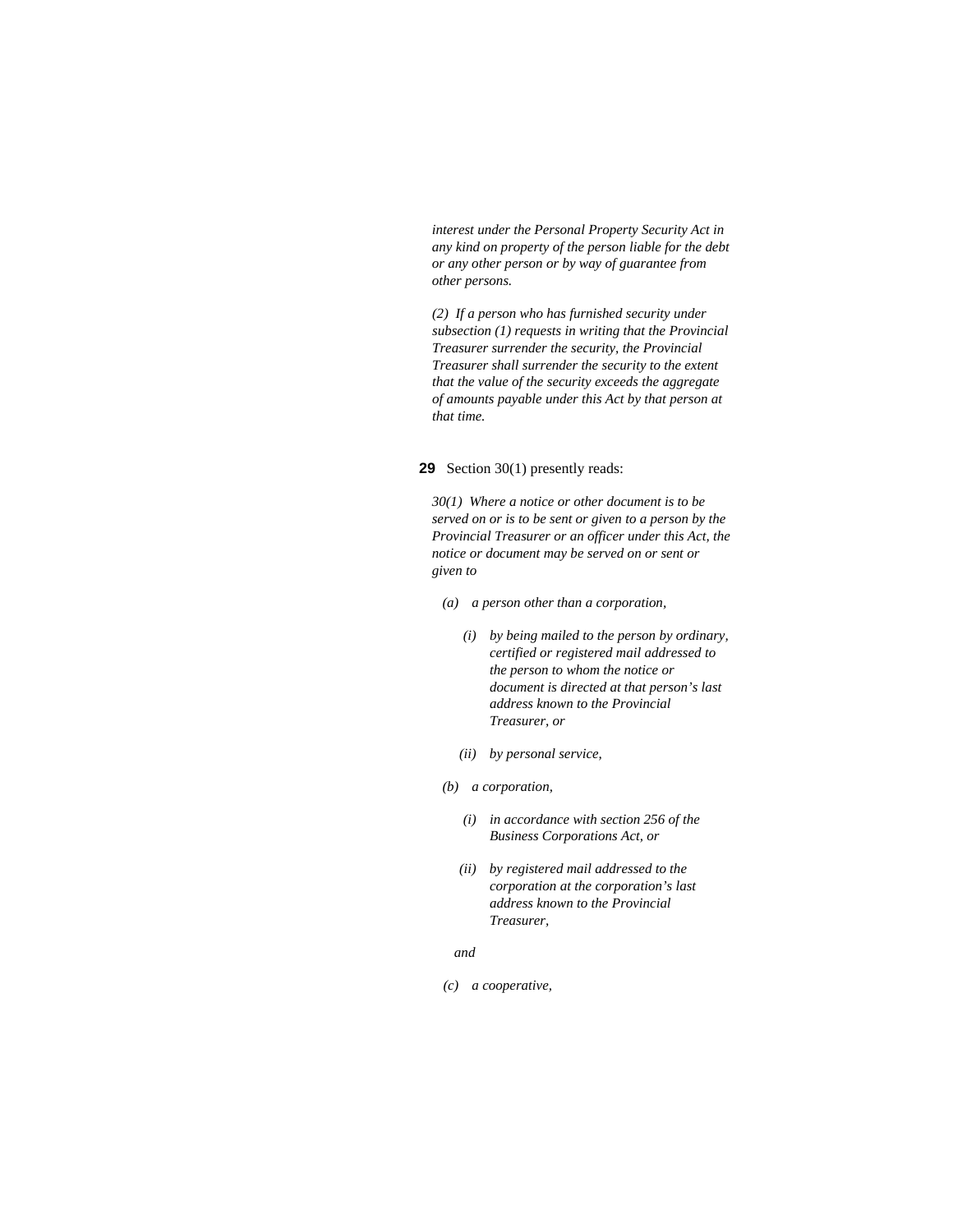*interest under the Personal Property Security Act in any kind on property of the person liable for the debt or any other person or by way of guarantee from other persons.* 

*(2) If a person who has furnished security under subsection (1) requests in writing that the Provincial Treasurer surrender the security, the Provincial Treasurer shall surrender the security to the extent that the value of the security exceeds the aggregate of amounts payable under this Act by that person at that time.* 

**29** Section 30(1) presently reads:

*30(1) Where a notice or other document is to be served on or is to be sent or given to a person by the Provincial Treasurer or an officer under this Act, the notice or document may be served on or sent or given to* 

- *(a) a person other than a corporation,* 
	- *(i) by being mailed to the person by ordinary, certified or registered mail addressed to the person to whom the notice or document is directed at that person's last address known to the Provincial Treasurer, or*
	- *(ii) by personal service,*
- *(b) a corporation,* 
	- *(i) in accordance with section 256 of the Business Corporations Act, or*
	- *(ii) by registered mail addressed to the corporation at the corporation's last address known to the Provincial Treasurer,*

 *and* 

 *(c) a cooperative,*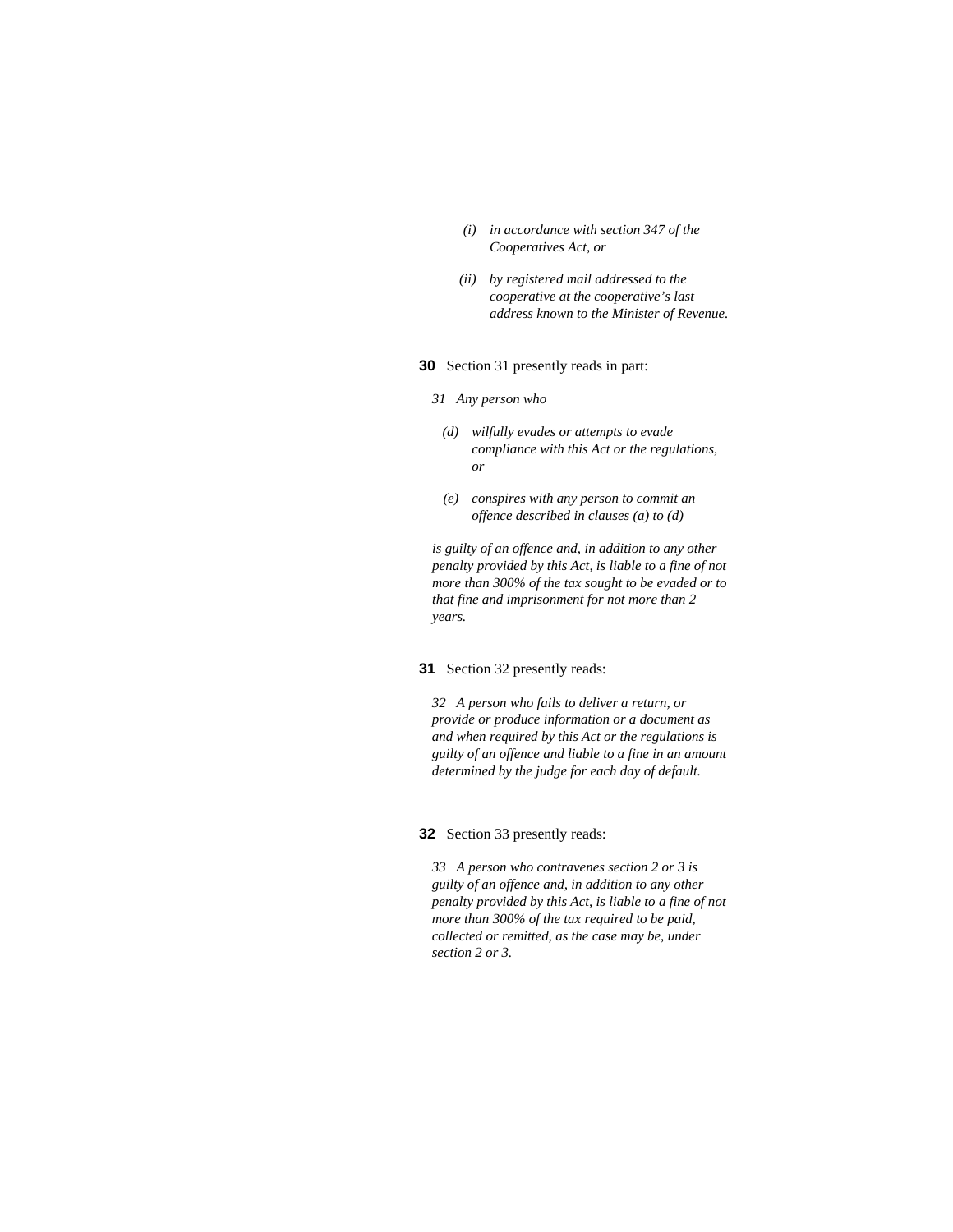- *(i) in accordance with section 347 of the Cooperatives Act, or*
- *(ii) by registered mail addressed to the cooperative at the cooperative's last address known to the Minister of Revenue.*

#### **30** Section 31 presently reads in part:

- *31 Any person who* 
	- *(d) wilfully evades or attempts to evade compliance with this Act or the regulations, or*
	- *(e) conspires with any person to commit an offence described in clauses (a) to (d)*

*is guilty of an offence and, in addition to any other penalty provided by this Act, is liable to a fine of not more than 300% of the tax sought to be evaded or to that fine and imprisonment for not more than 2 years.* 

#### **31** Section 32 presently reads:

*32 A person who fails to deliver a return, or provide or produce information or a document as and when required by this Act or the regulations is guilty of an offence and liable to a fine in an amount determined by the judge for each day of default.* 

#### **32** Section 33 presently reads:

*33 A person who contravenes section 2 or 3 is guilty of an offence and, in addition to any other penalty provided by this Act, is liable to a fine of not more than 300% of the tax required to be paid, collected or remitted, as the case may be, under section 2 or 3.*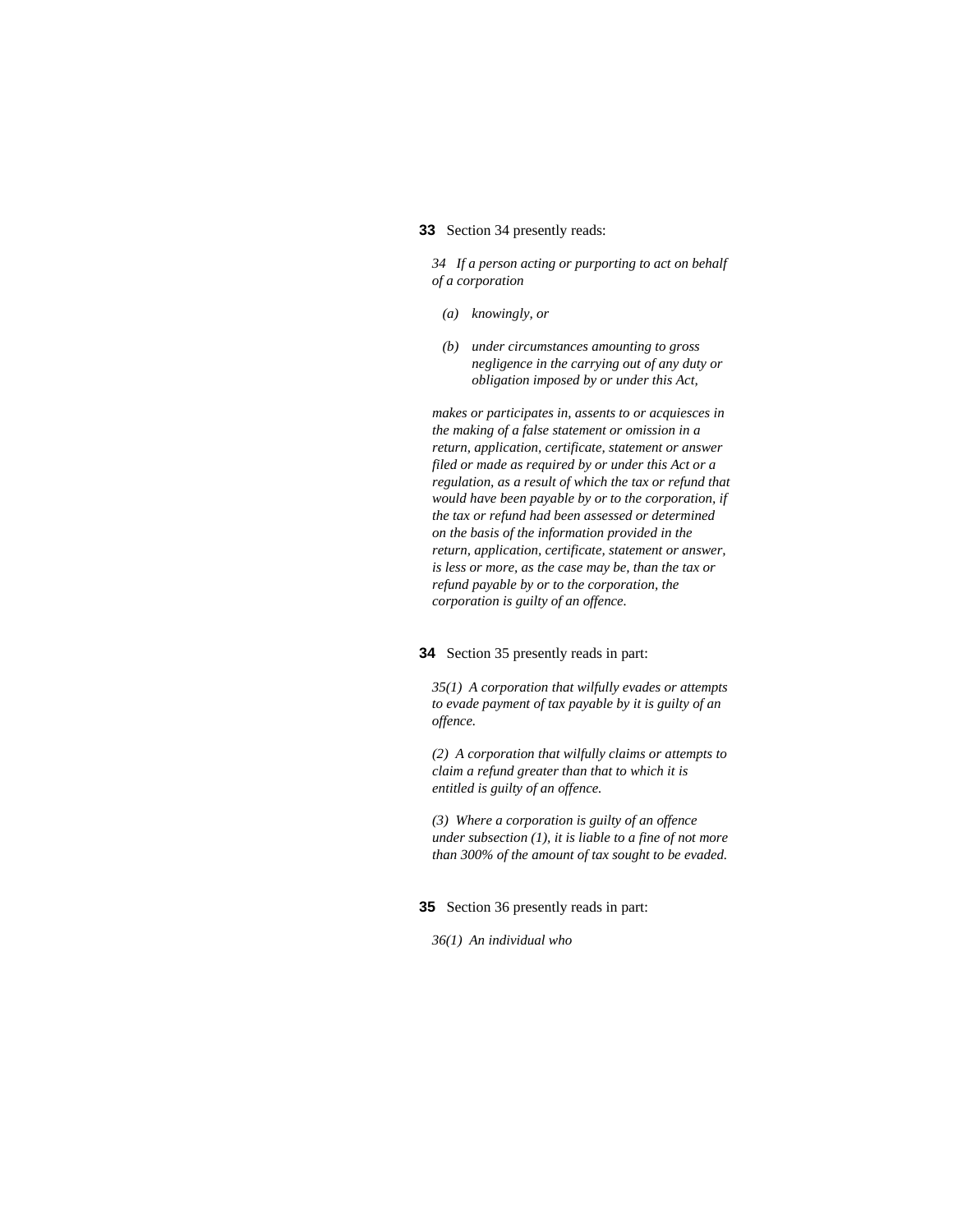### **33** Section 34 presently reads:

*34 If a person acting or purporting to act on behalf of a corporation* 

- *(a) knowingly, or*
- *(b) under circumstances amounting to gross negligence in the carrying out of any duty or obligation imposed by or under this Act,*

*makes or participates in, assents to or acquiesces in the making of a false statement or omission in a return, application, certificate, statement or answer filed or made as required by or under this Act or a regulation, as a result of which the tax or refund that would have been payable by or to the corporation, if the tax or refund had been assessed or determined on the basis of the information provided in the return, application, certificate, statement or answer, is less or more, as the case may be, than the tax or refund payable by or to the corporation, the corporation is guilty of an offence.* 

#### **34** Section 35 presently reads in part:

*35(1) A corporation that wilfully evades or attempts to evade payment of tax payable by it is guilty of an offence.* 

*(2) A corporation that wilfully claims or attempts to claim a refund greater than that to which it is entitled is guilty of an offence.* 

*(3) Where a corporation is guilty of an offence under subsection (1), it is liable to a fine of not more than 300% of the amount of tax sought to be evaded.* 

**35** Section 36 presently reads in part:

*36(1) An individual who*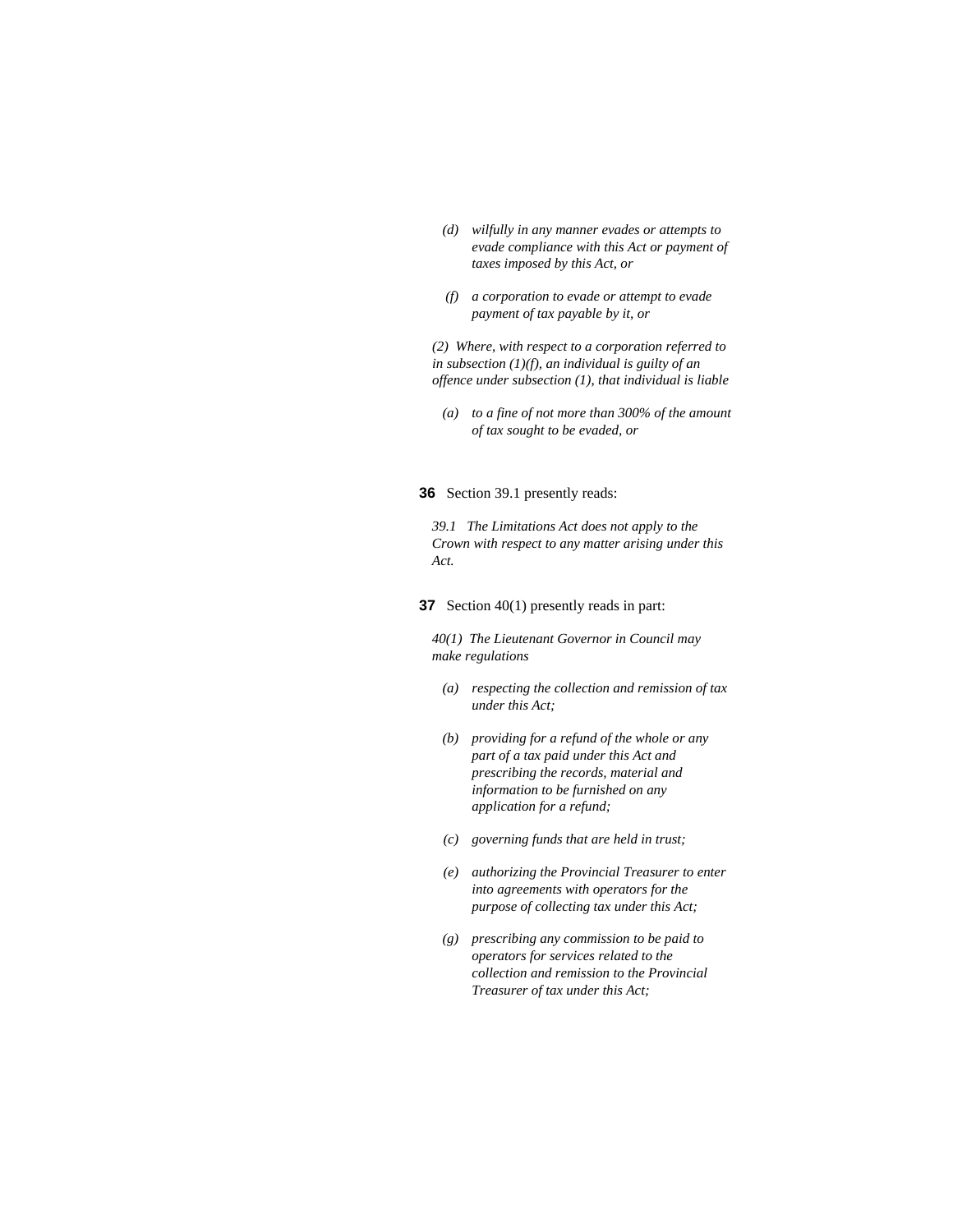- *(d) wilfully in any manner evades or attempts to evade compliance with this Act or payment of taxes imposed by this Act, or*
- *(f) a corporation to evade or attempt to evade payment of tax payable by it, or*

*(2) Where, with respect to a corporation referred to in subsection (1)(f), an individual is guilty of an offence under subsection (1), that individual is liable* 

 *(a) to a fine of not more than 300% of the amount of tax sought to be evaded, or* 

**36** Section 39.1 presently reads:

*39.1 The Limitations Act does not apply to the Crown with respect to any matter arising under this Act.* 

**37** Section 40(1) presently reads in part:

*40(1) The Lieutenant Governor in Council may make regulations* 

- *(a) respecting the collection and remission of tax under this Act;*
- *(b) providing for a refund of the whole or any part of a tax paid under this Act and prescribing the records, material and information to be furnished on any application for a refund;*
- *(c) governing funds that are held in trust;*
- *(e) authorizing the Provincial Treasurer to enter into agreements with operators for the purpose of collecting tax under this Act;*
- *(g) prescribing any commission to be paid to operators for services related to the collection and remission to the Provincial Treasurer of tax under this Act;*